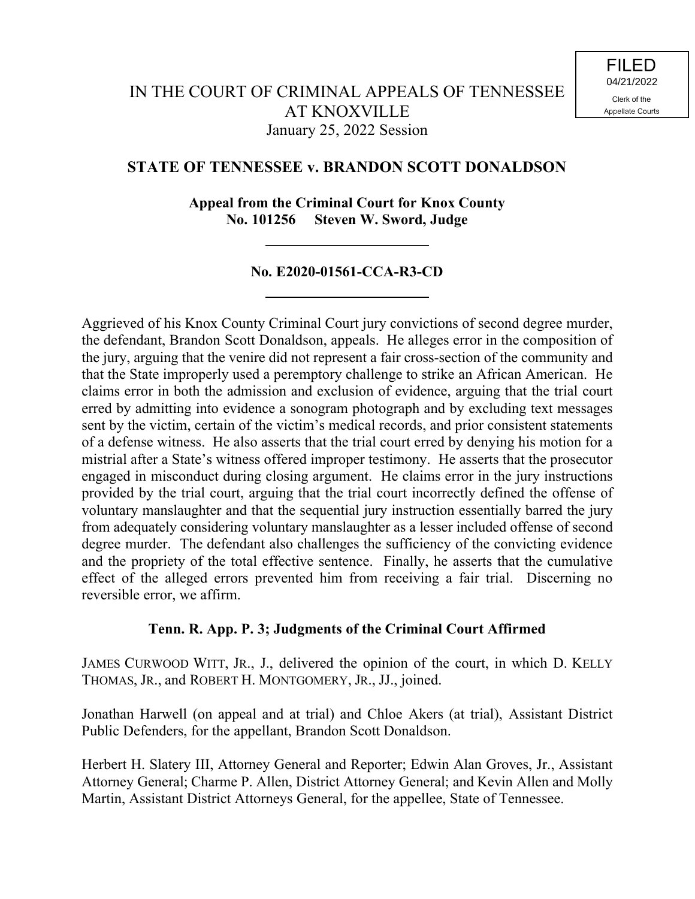# **STATE OF TENNESSEE v. BRANDON SCOTT DONALDSON**

**Appeal from the Criminal Court for Knox County No. 101256 Steven W. Sword, Judge**

# **No. E2020-01561-CCA-R3-CD**

Aggrieved of his Knox County Criminal Court jury convictions of second degree murder, the defendant, Brandon Scott Donaldson, appeals. He alleges error in the composition of the jury, arguing that the venire did not represent a fair cross-section of the community and that the State improperly used a peremptory challenge to strike an African American. He claims error in both the admission and exclusion of evidence, arguing that the trial court erred by admitting into evidence a sonogram photograph and by excluding text messages sent by the victim, certain of the victim's medical records, and prior consistent statements of a defense witness. He also asserts that the trial court erred by denying his motion for a mistrial after a State's witness offered improper testimony. He asserts that the prosecutor engaged in misconduct during closing argument. He claims error in the jury instructions provided by the trial court, arguing that the trial court incorrectly defined the offense of voluntary manslaughter and that the sequential jury instruction essentially barred the jury from adequately considering voluntary manslaughter as a lesser included offense of second degree murder. The defendant also challenges the sufficiency of the convicting evidence and the propriety of the total effective sentence. Finally, he asserts that the cumulative effect of the alleged errors prevented him from receiving a fair trial. Discerning no reversible error, we affirm.

## **Tenn. R. App. P. 3; Judgments of the Criminal Court Affirmed**

JAMES CURWOOD WITT, JR., J., delivered the opinion of the court, in which D. KELLY THOMAS, JR., and ROBERT H. MONTGOMERY, JR., JJ., joined.

Jonathan Harwell (on appeal and at trial) and Chloe Akers (at trial), Assistant District Public Defenders, for the appellant, Brandon Scott Donaldson.

Herbert H. Slatery III, Attorney General and Reporter; Edwin Alan Groves, Jr., Assistant Attorney General; Charme P. Allen, District Attorney General; and Kevin Allen and Molly Martin, Assistant District Attorneys General, for the appellee, State of Tennessee.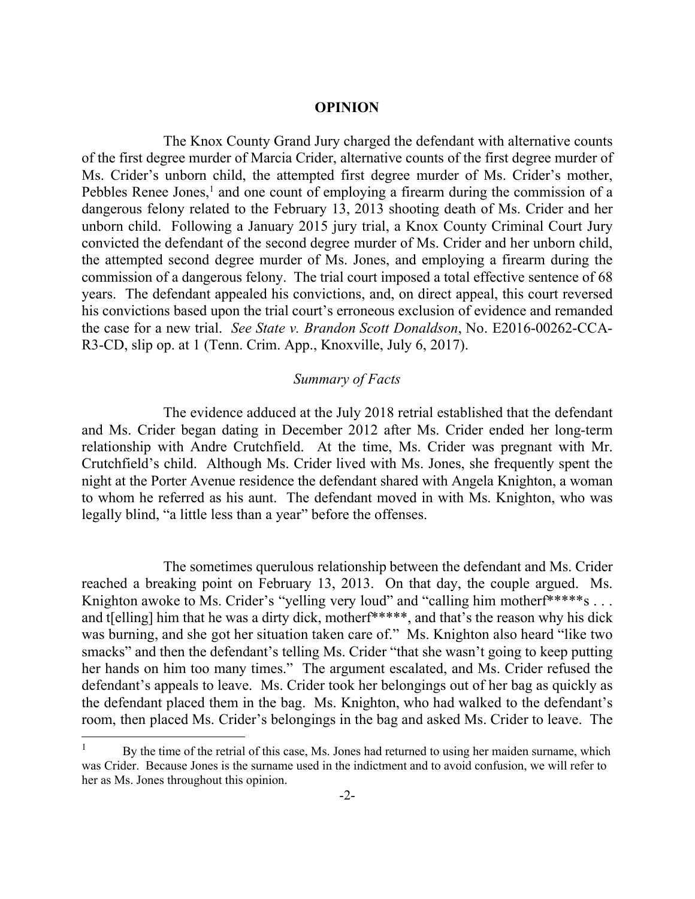#### **OPINION**

The Knox County Grand Jury charged the defendant with alternative counts of the first degree murder of Marcia Crider, alternative counts of the first degree murder of Ms. Crider's unborn child, the attempted first degree murder of Ms. Crider's mother, Pebbles Renee Jones,<sup>1</sup> and one count of employing a firearm during the commission of a dangerous felony related to the February 13, 2013 shooting death of Ms. Crider and her unborn child. Following a January 2015 jury trial, a Knox County Criminal Court Jury convicted the defendant of the second degree murder of Ms. Crider and her unborn child, the attempted second degree murder of Ms. Jones, and employing a firearm during the commission of a dangerous felony. The trial court imposed a total effective sentence of 68 years. The defendant appealed his convictions, and, on direct appeal, this court reversed his convictions based upon the trial court's erroneous exclusion of evidence and remanded the case for a new trial. *See State v. Brandon Scott Donaldson*, No. E2016-00262-CCA-R3-CD, slip op. at 1 (Tenn. Crim. App., Knoxville, July 6, 2017).

# *Summary of Facts*

The evidence adduced at the July 2018 retrial established that the defendant and Ms. Crider began dating in December 2012 after Ms. Crider ended her long-term relationship with Andre Crutchfield. At the time, Ms. Crider was pregnant with Mr. Crutchfield's child. Although Ms. Crider lived with Ms. Jones, she frequently spent the night at the Porter Avenue residence the defendant shared with Angela Knighton, a woman to whom he referred as his aunt. The defendant moved in with Ms. Knighton, who was legally blind, "a little less than a year" before the offenses.

The sometimes querulous relationship between the defendant and Ms. Crider reached a breaking point on February 13, 2013. On that day, the couple argued. Ms. Knighton awoke to Ms. Crider's "yelling very loud" and "calling him mother $f^{***}$ "s ... and t[elling] him that he was a dirty dick, motherf\*\*\*\*\*, and that's the reason why his dick was burning, and she got her situation taken care of." Ms. Knighton also heard "like two smacks" and then the defendant's telling Ms. Crider "that she wasn't going to keep putting her hands on him too many times." The argument escalated, and Ms. Crider refused the defendant's appeals to leave. Ms. Crider took her belongings out of her bag as quickly as the defendant placed them in the bag. Ms. Knighton, who had walked to the defendant's room, then placed Ms. Crider's belongings in the bag and asked Ms. Crider to leave. The

l

By the time of the retrial of this case, Ms. Jones had returned to using her maiden surname, which was Crider. Because Jones is the surname used in the indictment and to avoid confusion, we will refer to her as Ms. Jones throughout this opinion.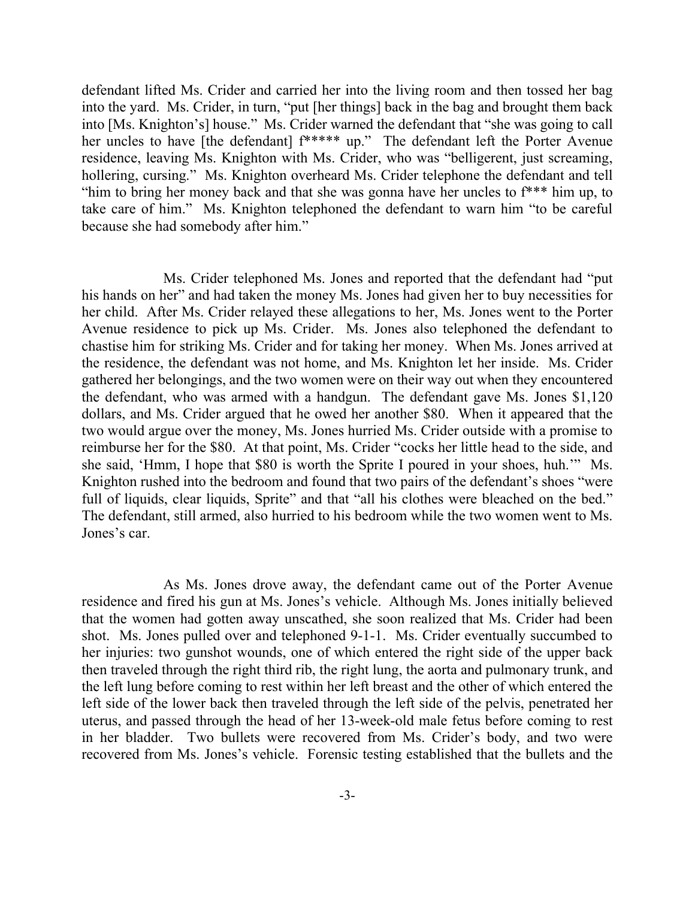defendant lifted Ms. Crider and carried her into the living room and then tossed her bag into the yard. Ms. Crider, in turn, "put [her things] back in the bag and brought them back into [Ms. Knighton's] house." Ms. Crider warned the defendant that "she was going to call her uncles to have [the defendant] f\*\*\*\*\* up." The defendant left the Porter Avenue residence, leaving Ms. Knighton with Ms. Crider, who was "belligerent, just screaming, hollering, cursing." Ms. Knighton overheard Ms. Crider telephone the defendant and tell "him to bring her money back and that she was gonna have her uncles to f\*\*\* him up, to take care of him." Ms. Knighton telephoned the defendant to warn him "to be careful because she had somebody after him."

Ms. Crider telephoned Ms. Jones and reported that the defendant had "put his hands on her" and had taken the money Ms. Jones had given her to buy necessities for her child. After Ms. Crider relayed these allegations to her, Ms. Jones went to the Porter Avenue residence to pick up Ms. Crider. Ms. Jones also telephoned the defendant to chastise him for striking Ms. Crider and for taking her money. When Ms. Jones arrived at the residence, the defendant was not home, and Ms. Knighton let her inside. Ms. Crider gathered her belongings, and the two women were on their way out when they encountered the defendant, who was armed with a handgun. The defendant gave Ms. Jones \$1,120 dollars, and Ms. Crider argued that he owed her another \$80. When it appeared that the two would argue over the money, Ms. Jones hurried Ms. Crider outside with a promise to reimburse her for the \$80. At that point, Ms. Crider "cocks her little head to the side, and she said, 'Hmm, I hope that \$80 is worth the Sprite I poured in your shoes, huh.'" Ms. Knighton rushed into the bedroom and found that two pairs of the defendant's shoes "were full of liquids, clear liquids, Sprite" and that "all his clothes were bleached on the bed." The defendant, still armed, also hurried to his bedroom while the two women went to Ms. Jones's car.

As Ms. Jones drove away, the defendant came out of the Porter Avenue residence and fired his gun at Ms. Jones's vehicle. Although Ms. Jones initially believed that the women had gotten away unscathed, she soon realized that Ms. Crider had been shot. Ms. Jones pulled over and telephoned 9-1-1. Ms. Crider eventually succumbed to her injuries: two gunshot wounds, one of which entered the right side of the upper back then traveled through the right third rib, the right lung, the aorta and pulmonary trunk, and the left lung before coming to rest within her left breast and the other of which entered the left side of the lower back then traveled through the left side of the pelvis, penetrated her uterus, and passed through the head of her 13-week-old male fetus before coming to rest in her bladder. Two bullets were recovered from Ms. Crider's body, and two were recovered from Ms. Jones's vehicle. Forensic testing established that the bullets and the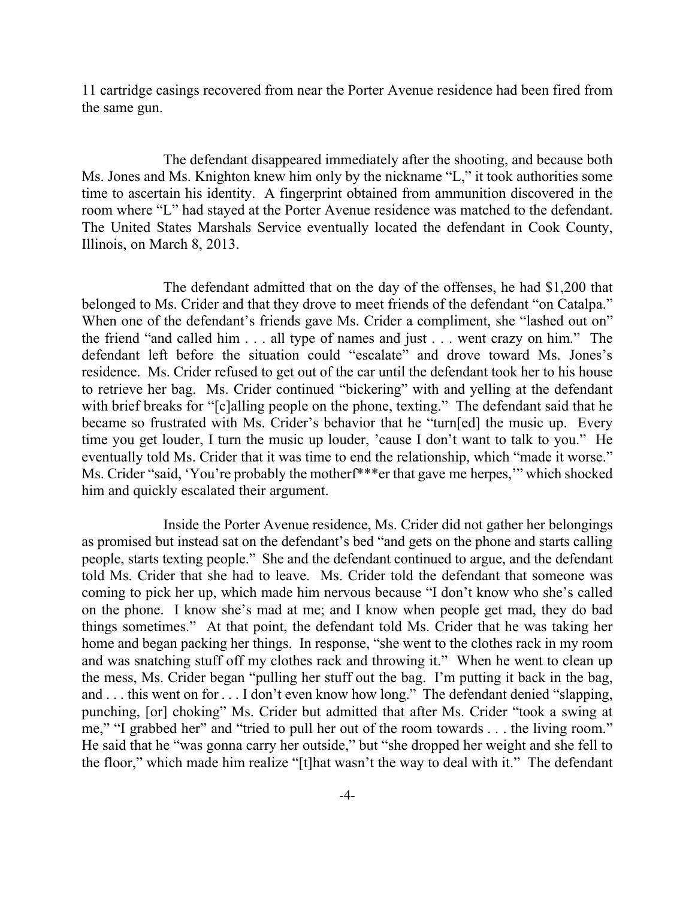11 cartridge casings recovered from near the Porter Avenue residence had been fired from the same gun.

The defendant disappeared immediately after the shooting, and because both Ms. Jones and Ms. Knighton knew him only by the nickname "L," it took authorities some time to ascertain his identity. A fingerprint obtained from ammunition discovered in the room where "L" had stayed at the Porter Avenue residence was matched to the defendant. The United States Marshals Service eventually located the defendant in Cook County, Illinois, on March 8, 2013.

The defendant admitted that on the day of the offenses, he had \$1,200 that belonged to Ms. Crider and that they drove to meet friends of the defendant "on Catalpa." When one of the defendant's friends gave Ms. Crider a compliment, she "lashed out on" the friend "and called him . . . all type of names and just . . . went crazy on him." The defendant left before the situation could "escalate" and drove toward Ms. Jones's residence. Ms. Crider refused to get out of the car until the defendant took her to his house to retrieve her bag. Ms. Crider continued "bickering" with and yelling at the defendant with brief breaks for "[c]alling people on the phone, texting." The defendant said that he became so frustrated with Ms. Crider's behavior that he "turn[ed] the music up. Every time you get louder, I turn the music up louder, 'cause I don't want to talk to you." He eventually told Ms. Crider that it was time to end the relationship, which "made it worse." Ms. Crider "said, 'You're probably the motherf\*\*\*er that gave me herpes,'" which shocked him and quickly escalated their argument.

Inside the Porter Avenue residence, Ms. Crider did not gather her belongings as promised but instead sat on the defendant's bed "and gets on the phone and starts calling people, starts texting people." She and the defendant continued to argue, and the defendant told Ms. Crider that she had to leave. Ms. Crider told the defendant that someone was coming to pick her up, which made him nervous because "I don't know who she's called on the phone. I know she's mad at me; and I know when people get mad, they do bad things sometimes." At that point, the defendant told Ms. Crider that he was taking her home and began packing her things. In response, "she went to the clothes rack in my room and was snatching stuff off my clothes rack and throwing it." When he went to clean up the mess, Ms. Crider began "pulling her stuff out the bag. I'm putting it back in the bag, and . . . this went on for . . . I don't even know how long." The defendant denied "slapping, punching, [or] choking" Ms. Crider but admitted that after Ms. Crider "took a swing at me," "I grabbed her" and "tried to pull her out of the room towards . . . the living room." He said that he "was gonna carry her outside," but "she dropped her weight and she fell to the floor," which made him realize "[t]hat wasn't the way to deal with it." The defendant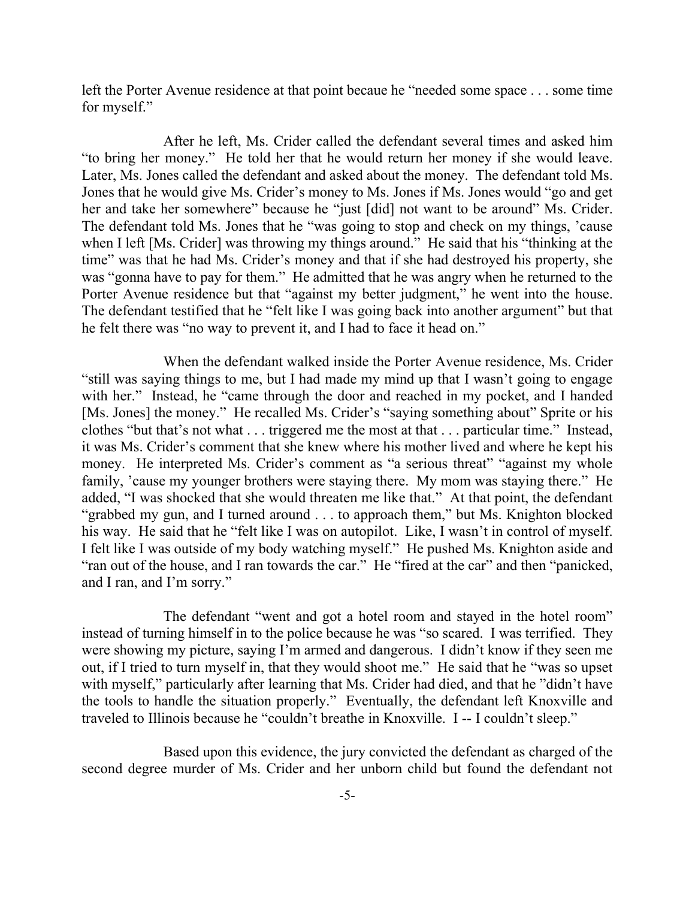left the Porter Avenue residence at that point becaue he "needed some space . . . some time for myself."

After he left, Ms. Crider called the defendant several times and asked him "to bring her money." He told her that he would return her money if she would leave. Later, Ms. Jones called the defendant and asked about the money. The defendant told Ms. Jones that he would give Ms. Crider's money to Ms. Jones if Ms. Jones would "go and get her and take her somewhere" because he "just [did] not want to be around" Ms. Crider. The defendant told Ms. Jones that he "was going to stop and check on my things, 'cause when I left [Ms. Crider] was throwing my things around." He said that his "thinking at the time" was that he had Ms. Crider's money and that if she had destroyed his property, she was "gonna have to pay for them." He admitted that he was angry when he returned to the Porter Avenue residence but that "against my better judgment," he went into the house. The defendant testified that he "felt like I was going back into another argument" but that he felt there was "no way to prevent it, and I had to face it head on."

When the defendant walked inside the Porter Avenue residence, Ms. Crider "still was saying things to me, but I had made my mind up that I wasn't going to engage with her." Instead, he "came through the door and reached in my pocket, and I handed [Ms. Jones] the money." He recalled Ms. Crider's "saying something about" Sprite or his clothes "but that's not what . . . triggered me the most at that . . . particular time." Instead, it was Ms. Crider's comment that she knew where his mother lived and where he kept his money. He interpreted Ms. Crider's comment as "a serious threat" "against my whole family, 'cause my younger brothers were staying there. My mom was staying there." He added, "I was shocked that she would threaten me like that." At that point, the defendant "grabbed my gun, and I turned around . . . to approach them," but Ms. Knighton blocked his way. He said that he "felt like I was on autopilot. Like, I wasn't in control of myself. I felt like I was outside of my body watching myself." He pushed Ms. Knighton aside and "ran out of the house, and I ran towards the car." He "fired at the car" and then "panicked, and I ran, and I'm sorry."

The defendant "went and got a hotel room and stayed in the hotel room" instead of turning himself in to the police because he was "so scared. I was terrified. They were showing my picture, saying I'm armed and dangerous. I didn't know if they seen me out, if I tried to turn myself in, that they would shoot me." He said that he "was so upset with myself," particularly after learning that Ms. Crider had died, and that he "didn't have the tools to handle the situation properly." Eventually, the defendant left Knoxville and traveled to Illinois because he "couldn't breathe in Knoxville. I -- I couldn't sleep."

Based upon this evidence, the jury convicted the defendant as charged of the second degree murder of Ms. Crider and her unborn child but found the defendant not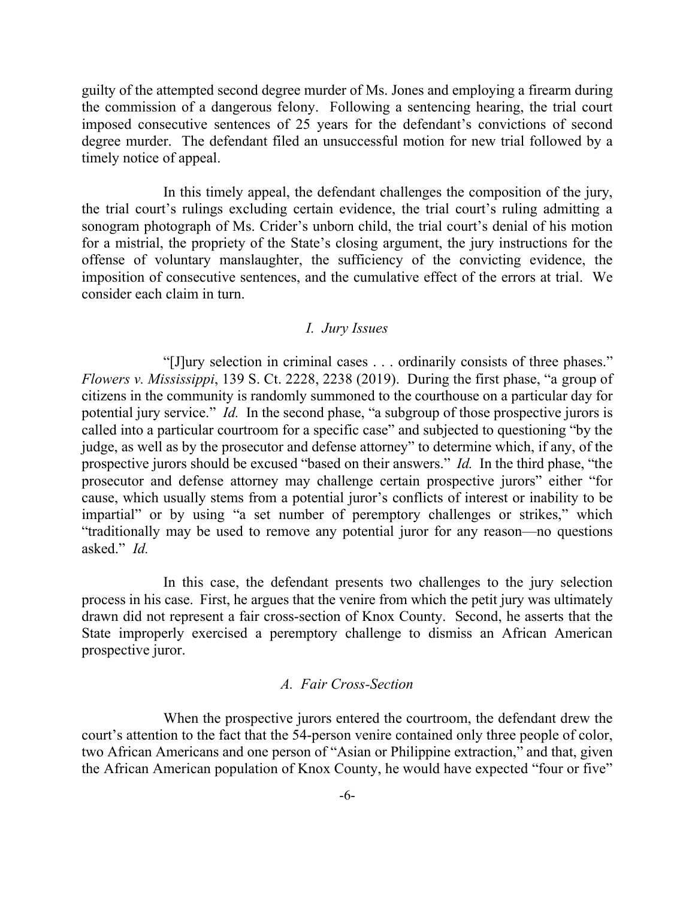guilty of the attempted second degree murder of Ms. Jones and employing a firearm during the commission of a dangerous felony. Following a sentencing hearing, the trial court imposed consecutive sentences of 25 years for the defendant's convictions of second degree murder. The defendant filed an unsuccessful motion for new trial followed by a timely notice of appeal.

In this timely appeal, the defendant challenges the composition of the jury, the trial court's rulings excluding certain evidence, the trial court's ruling admitting a sonogram photograph of Ms. Crider's unborn child, the trial court's denial of his motion for a mistrial, the propriety of the State's closing argument, the jury instructions for the offense of voluntary manslaughter, the sufficiency of the convicting evidence, the imposition of consecutive sentences, and the cumulative effect of the errors at trial. We consider each claim in turn.

#### *I. Jury Issues*

"[J]ury selection in criminal cases . . . ordinarily consists of three phases." *Flowers v. Mississippi*, 139 S. Ct. 2228, 2238 (2019). During the first phase, "a group of citizens in the community is randomly summoned to the courthouse on a particular day for potential jury service." *Id.* In the second phase, "a subgroup of those prospective jurors is called into a particular courtroom for a specific case" and subjected to questioning "by the judge, as well as by the prosecutor and defense attorney" to determine which, if any, of the prospective jurors should be excused "based on their answers." *Id.* In the third phase, "the prosecutor and defense attorney may challenge certain prospective jurors" either "for cause, which usually stems from a potential juror's conflicts of interest or inability to be impartial" or by using "a set number of peremptory challenges or strikes," which "traditionally may be used to remove any potential juror for any reason—no questions asked." *Id.*

In this case, the defendant presents two challenges to the jury selection process in his case. First, he argues that the venire from which the petit jury was ultimately drawn did not represent a fair cross-section of Knox County. Second, he asserts that the State improperly exercised a peremptory challenge to dismiss an African American prospective juror.

### *A. Fair Cross-Section*

When the prospective jurors entered the courtroom, the defendant drew the court's attention to the fact that the 54-person venire contained only three people of color, two African Americans and one person of "Asian or Philippine extraction," and that, given the African American population of Knox County, he would have expected "four or five"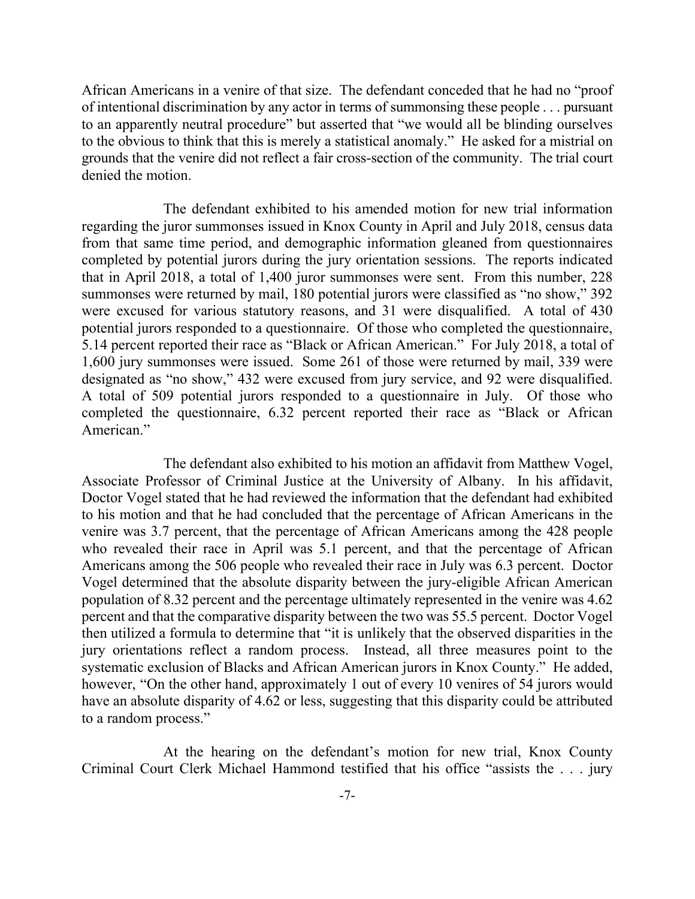African Americans in a venire of that size. The defendant conceded that he had no "proof of intentional discrimination by any actor in terms of summonsing these people . . . pursuant to an apparently neutral procedure" but asserted that "we would all be blinding ourselves to the obvious to think that this is merely a statistical anomaly." He asked for a mistrial on grounds that the venire did not reflect a fair cross-section of the community. The trial court denied the motion.

The defendant exhibited to his amended motion for new trial information regarding the juror summonses issued in Knox County in April and July 2018, census data from that same time period, and demographic information gleaned from questionnaires completed by potential jurors during the jury orientation sessions. The reports indicated that in April 2018, a total of 1,400 juror summonses were sent. From this number, 228 summonses were returned by mail, 180 potential jurors were classified as "no show," 392 were excused for various statutory reasons, and 31 were disqualified. A total of 430 potential jurors responded to a questionnaire. Of those who completed the questionnaire, 5.14 percent reported their race as "Black or African American." For July 2018, a total of 1,600 jury summonses were issued. Some 261 of those were returned by mail, 339 were designated as "no show," 432 were excused from jury service, and 92 were disqualified. A total of 509 potential jurors responded to a questionnaire in July. Of those who completed the questionnaire, 6.32 percent reported their race as "Black or African American."

The defendant also exhibited to his motion an affidavit from Matthew Vogel, Associate Professor of Criminal Justice at the University of Albany. In his affidavit, Doctor Vogel stated that he had reviewed the information that the defendant had exhibited to his motion and that he had concluded that the percentage of African Americans in the venire was 3.7 percent, that the percentage of African Americans among the 428 people who revealed their race in April was 5.1 percent, and that the percentage of African Americans among the 506 people who revealed their race in July was 6.3 percent. Doctor Vogel determined that the absolute disparity between the jury-eligible African American population of 8.32 percent and the percentage ultimately represented in the venire was 4.62 percent and that the comparative disparity between the two was 55.5 percent. Doctor Vogel then utilized a formula to determine that "it is unlikely that the observed disparities in the jury orientations reflect a random process. Instead, all three measures point to the systematic exclusion of Blacks and African American jurors in Knox County." He added, however, "On the other hand, approximately 1 out of every 10 venires of 54 jurors would have an absolute disparity of 4.62 or less, suggesting that this disparity could be attributed to a random process."

At the hearing on the defendant's motion for new trial, Knox County Criminal Court Clerk Michael Hammond testified that his office "assists the . . . jury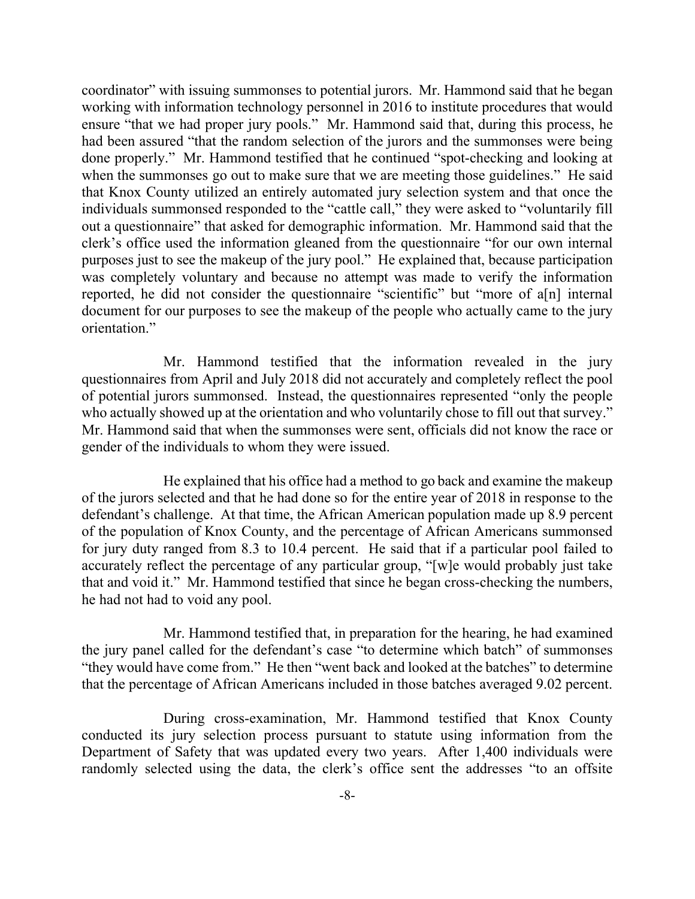coordinator" with issuing summonses to potential jurors. Mr. Hammond said that he began working with information technology personnel in 2016 to institute procedures that would ensure "that we had proper jury pools." Mr. Hammond said that, during this process, he had been assured "that the random selection of the jurors and the summonses were being done properly." Mr. Hammond testified that he continued "spot-checking and looking at when the summonses go out to make sure that we are meeting those guidelines." He said that Knox County utilized an entirely automated jury selection system and that once the individuals summonsed responded to the "cattle call," they were asked to "voluntarily fill out a questionnaire" that asked for demographic information. Mr. Hammond said that the clerk's office used the information gleaned from the questionnaire "for our own internal purposes just to see the makeup of the jury pool." He explained that, because participation was completely voluntary and because no attempt was made to verify the information reported, he did not consider the questionnaire "scientific" but "more of a[n] internal document for our purposes to see the makeup of the people who actually came to the jury orientation."

Mr. Hammond testified that the information revealed in the jury questionnaires from April and July 2018 did not accurately and completely reflect the pool of potential jurors summonsed. Instead, the questionnaires represented "only the people who actually showed up at the orientation and who voluntarily chose to fill out that survey." Mr. Hammond said that when the summonses were sent, officials did not know the race or gender of the individuals to whom they were issued.

He explained that his office had a method to go back and examine the makeup of the jurors selected and that he had done so for the entire year of 2018 in response to the defendant's challenge. At that time, the African American population made up 8.9 percent of the population of Knox County, and the percentage of African Americans summonsed for jury duty ranged from 8.3 to 10.4 percent. He said that if a particular pool failed to accurately reflect the percentage of any particular group, "[w]e would probably just take that and void it." Mr. Hammond testified that since he began cross-checking the numbers, he had not had to void any pool.

Mr. Hammond testified that, in preparation for the hearing, he had examined the jury panel called for the defendant's case "to determine which batch" of summonses "they would have come from." He then "went back and looked at the batches" to determine that the percentage of African Americans included in those batches averaged 9.02 percent.

During cross-examination, Mr. Hammond testified that Knox County conducted its jury selection process pursuant to statute using information from the Department of Safety that was updated every two years. After 1,400 individuals were randomly selected using the data, the clerk's office sent the addresses "to an offsite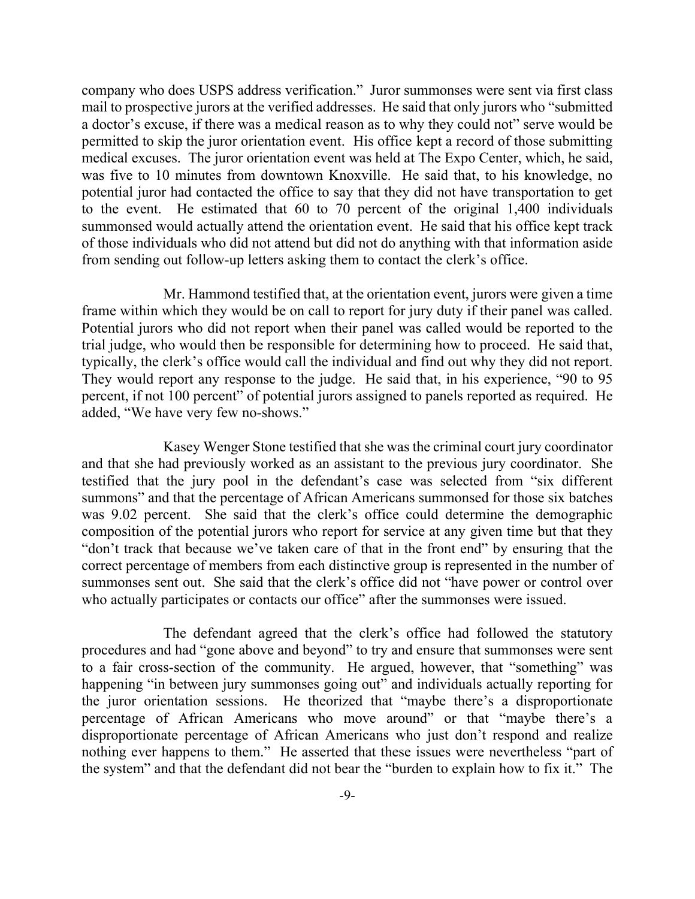company who does USPS address verification." Juror summonses were sent via first class mail to prospective jurors at the verified addresses. He said that only jurors who "submitted a doctor's excuse, if there was a medical reason as to why they could not" serve would be permitted to skip the juror orientation event. His office kept a record of those submitting medical excuses. The juror orientation event was held at The Expo Center, which, he said, was five to 10 minutes from downtown Knoxville. He said that, to his knowledge, no potential juror had contacted the office to say that they did not have transportation to get to the event. He estimated that 60 to 70 percent of the original 1,400 individuals summonsed would actually attend the orientation event. He said that his office kept track of those individuals who did not attend but did not do anything with that information aside from sending out follow-up letters asking them to contact the clerk's office.

Mr. Hammond testified that, at the orientation event, jurors were given a time frame within which they would be on call to report for jury duty if their panel was called. Potential jurors who did not report when their panel was called would be reported to the trial judge, who would then be responsible for determining how to proceed. He said that, typically, the clerk's office would call the individual and find out why they did not report. They would report any response to the judge. He said that, in his experience, "90 to 95 percent, if not 100 percent" of potential jurors assigned to panels reported as required. He added, "We have very few no-shows."

Kasey Wenger Stone testified that she was the criminal court jury coordinator and that she had previously worked as an assistant to the previous jury coordinator. She testified that the jury pool in the defendant's case was selected from "six different summons" and that the percentage of African Americans summonsed for those six batches was 9.02 percent. She said that the clerk's office could determine the demographic composition of the potential jurors who report for service at any given time but that they "don't track that because we've taken care of that in the front end" by ensuring that the correct percentage of members from each distinctive group is represented in the number of summonses sent out. She said that the clerk's office did not "have power or control over who actually participates or contacts our office" after the summonses were issued.

The defendant agreed that the clerk's office had followed the statutory procedures and had "gone above and beyond" to try and ensure that summonses were sent to a fair cross-section of the community. He argued, however, that "something" was happening "in between jury summonses going out" and individuals actually reporting for the juror orientation sessions. He theorized that "maybe there's a disproportionate percentage of African Americans who move around" or that "maybe there's a disproportionate percentage of African Americans who just don't respond and realize nothing ever happens to them." He asserted that these issues were nevertheless "part of the system" and that the defendant did not bear the "burden to explain how to fix it." The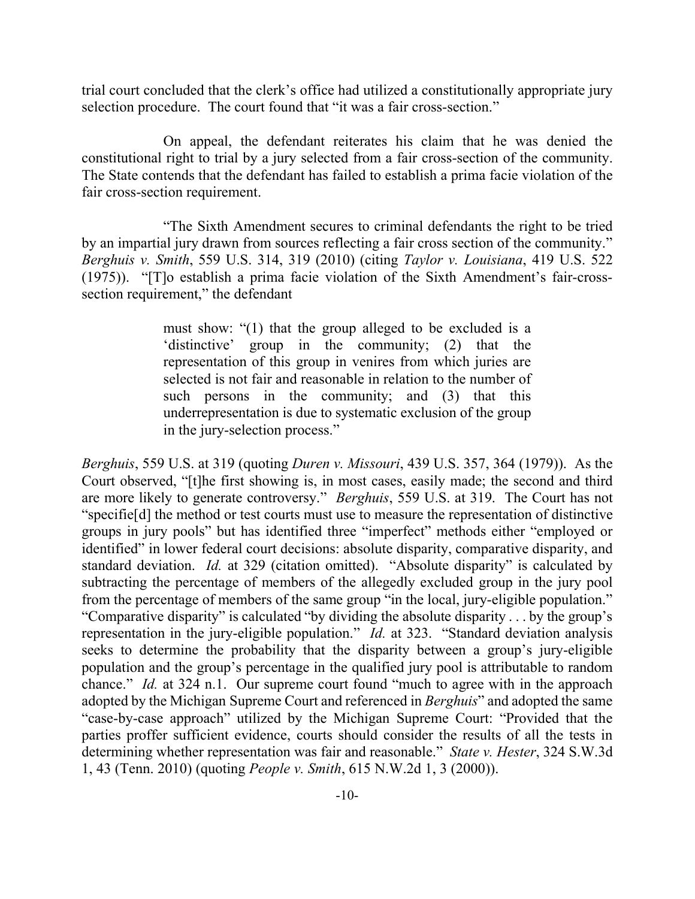trial court concluded that the clerk's office had utilized a constitutionally appropriate jury selection procedure. The court found that "it was a fair cross-section."

On appeal, the defendant reiterates his claim that he was denied the constitutional right to trial by a jury selected from a fair cross-section of the community. The State contends that the defendant has failed to establish a prima facie violation of the fair cross-section requirement.

"The Sixth Amendment secures to criminal defendants the right to be tried by an impartial jury drawn from sources reflecting a fair cross section of the community." *Berghuis v. Smith*, 559 U.S. 314, 319 (2010) (citing *Taylor v. Louisiana*, 419 U.S. 522 (1975)). "[T]o establish a prima facie violation of the Sixth Amendment's fair-crosssection requirement," the defendant

> must show: "(1) that the group alleged to be excluded is a 'distinctive' group in the community; (2) that the representation of this group in venires from which juries are selected is not fair and reasonable in relation to the number of such persons in the community; and (3) that this underrepresentation is due to systematic exclusion of the group in the jury-selection process."

*Berghuis*, 559 U.S. at 319 (quoting *Duren v. Missouri*, 439 U.S. 357, 364 (1979)). As the Court observed, "[t]he first showing is, in most cases, easily made; the second and third are more likely to generate controversy." *Berghuis*, 559 U.S. at 319. The Court has not "specifie[d] the method or test courts must use to measure the representation of distinctive groups in jury pools" but has identified three "imperfect" methods either "employed or identified" in lower federal court decisions: absolute disparity, comparative disparity, and standard deviation. *Id.* at 329 (citation omitted). "Absolute disparity" is calculated by subtracting the percentage of members of the allegedly excluded group in the jury pool from the percentage of members of the same group "in the local, jury-eligible population." "Comparative disparity" is calculated "by dividing the absolute disparity . . . by the group's representation in the jury-eligible population." *Id.* at 323. "Standard deviation analysis seeks to determine the probability that the disparity between a group's jury-eligible population and the group's percentage in the qualified jury pool is attributable to random chance." *Id.* at 324 n.1. Our supreme court found "much to agree with in the approach adopted by the Michigan Supreme Court and referenced in *Berghuis*" and adopted the same "case-by-case approach" utilized by the Michigan Supreme Court: "Provided that the parties proffer sufficient evidence, courts should consider the results of all the tests in determining whether representation was fair and reasonable." *State v. Hester*, 324 S.W.3d 1, 43 (Tenn. 2010) (quoting *People v. Smith*, 615 N.W.2d 1, 3 (2000)).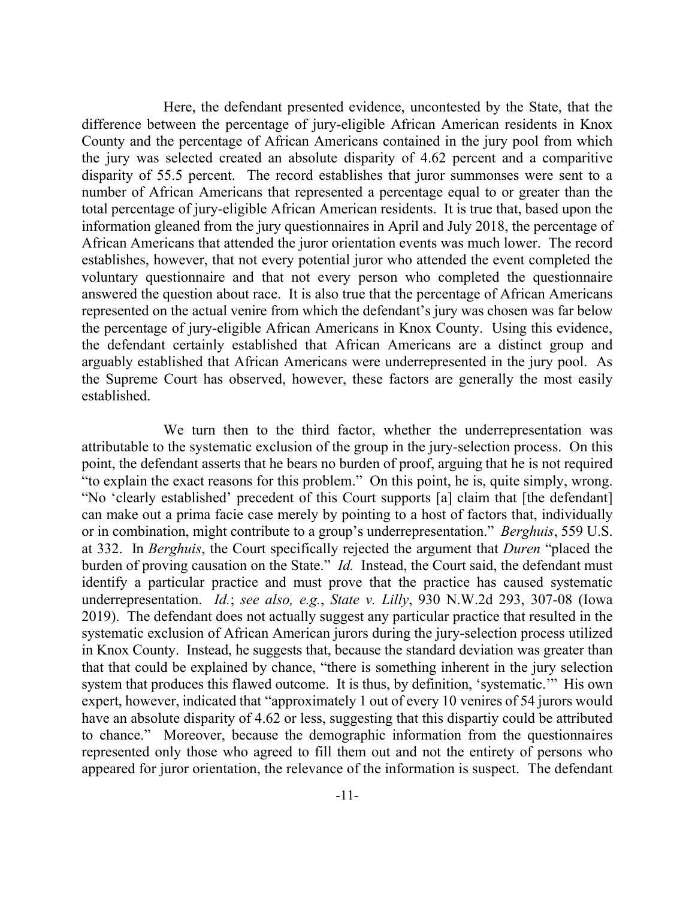Here, the defendant presented evidence, uncontested by the State, that the difference between the percentage of jury-eligible African American residents in Knox County and the percentage of African Americans contained in the jury pool from which the jury was selected created an absolute disparity of 4.62 percent and a comparitive disparity of 55.5 percent. The record establishes that juror summonses were sent to a number of African Americans that represented a percentage equal to or greater than the total percentage of jury-eligible African American residents. It is true that, based upon the information gleaned from the jury questionnaires in April and July 2018, the percentage of African Americans that attended the juror orientation events was much lower. The record establishes, however, that not every potential juror who attended the event completed the voluntary questionnaire and that not every person who completed the questionnaire answered the question about race. It is also true that the percentage of African Americans represented on the actual venire from which the defendant's jury was chosen was far below the percentage of jury-eligible African Americans in Knox County. Using this evidence, the defendant certainly established that African Americans are a distinct group and arguably established that African Americans were underrepresented in the jury pool. As the Supreme Court has observed, however, these factors are generally the most easily established.

We turn then to the third factor, whether the underrepresentation was attributable to the systematic exclusion of the group in the jury-selection process. On this point, the defendant asserts that he bears no burden of proof, arguing that he is not required "to explain the exact reasons for this problem." On this point, he is, quite simply, wrong. "No 'clearly established' precedent of this Court supports [a] claim that [the defendant] can make out a prima facie case merely by pointing to a host of factors that, individually or in combination, might contribute to a group's underrepresentation." *Berghuis*, 559 U.S. at 332. In *Berghuis*, the Court specifically rejected the argument that *Duren* "placed the burden of proving causation on the State." *Id.* Instead, the Court said, the defendant must identify a particular practice and must prove that the practice has caused systematic underrepresentation. *Id.*; *see also, e.g.*, *State v. Lilly*, 930 N.W.2d 293, 307-08 (Iowa 2019). The defendant does not actually suggest any particular practice that resulted in the systematic exclusion of African American jurors during the jury-selection process utilized in Knox County. Instead, he suggests that, because the standard deviation was greater than that that could be explained by chance, "there is something inherent in the jury selection system that produces this flawed outcome. It is thus, by definition, 'systematic.'" His own expert, however, indicated that "approximately 1 out of every 10 venires of 54 jurors would have an absolute disparity of 4.62 or less, suggesting that this dispartiy could be attributed to chance." Moreover, because the demographic information from the questionnaires represented only those who agreed to fill them out and not the entirety of persons who appeared for juror orientation, the relevance of the information is suspect. The defendant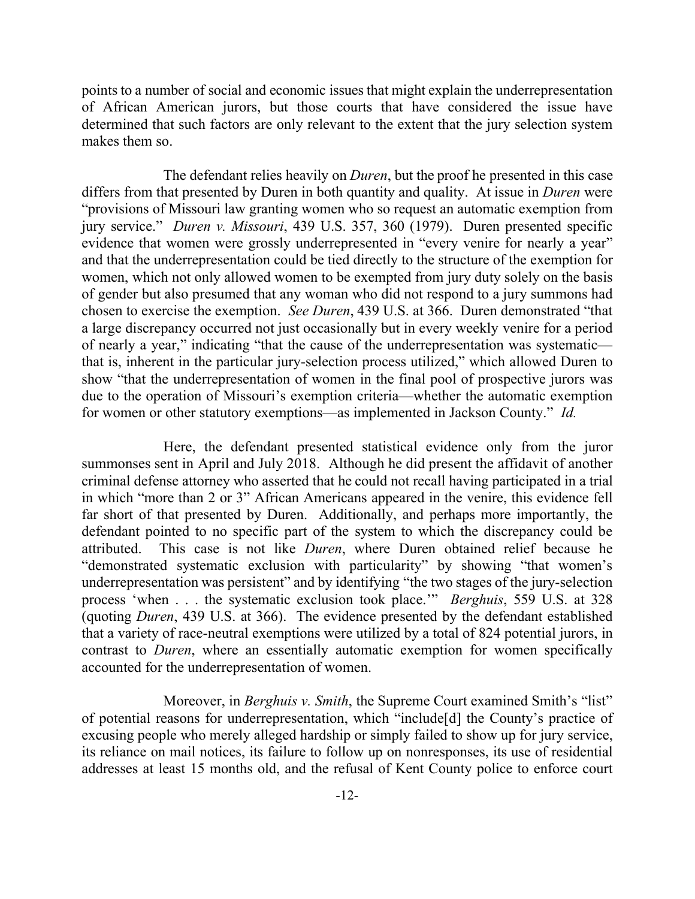points to a number of social and economic issues that might explain the underrepresentation of African American jurors, but those courts that have considered the issue have determined that such factors are only relevant to the extent that the jury selection system makes them so.

The defendant relies heavily on *Duren*, but the proof he presented in this case differs from that presented by Duren in both quantity and quality. At issue in *Duren* were "provisions of Missouri law granting women who so request an automatic exemption from jury service." *Duren v. Missouri*, 439 U.S. 357, 360 (1979). Duren presented specific evidence that women were grossly underrepresented in "every venire for nearly a year" and that the underrepresentation could be tied directly to the structure of the exemption for women, which not only allowed women to be exempted from jury duty solely on the basis of gender but also presumed that any woman who did not respond to a jury summons had chosen to exercise the exemption. *See Duren*, 439 U.S. at 366. Duren demonstrated "that a large discrepancy occurred not just occasionally but in every weekly venire for a period of nearly a year," indicating "that the cause of the underrepresentation was systematic that is, inherent in the particular jury-selection process utilized," which allowed Duren to show "that the underrepresentation of women in the final pool of prospective jurors was due to the operation of Missouri's exemption criteria—whether the automatic exemption for women or other statutory exemptions—as implemented in Jackson County." *Id.*

Here, the defendant presented statistical evidence only from the juror summonses sent in April and July 2018. Although he did present the affidavit of another criminal defense attorney who asserted that he could not recall having participated in a trial in which "more than 2 or 3" African Americans appeared in the venire, this evidence fell far short of that presented by Duren. Additionally, and perhaps more importantly, the defendant pointed to no specific part of the system to which the discrepancy could be attributed. This case is not like *Duren*, where Duren obtained relief because he "demonstrated systematic exclusion with particularity" by showing "that women's underrepresentation was persistent" and by identifying "the two stages of the jury-selection process 'when . . . the systematic exclusion took place.'" *Berghuis*, 559 U.S. at 328 (quoting *Duren*, 439 U.S. at 366). The evidence presented by the defendant established that a variety of race-neutral exemptions were utilized by a total of 824 potential jurors, in contrast to *Duren*, where an essentially automatic exemption for women specifically accounted for the underrepresentation of women.

Moreover, in *Berghuis v. Smith*, the Supreme Court examined Smith's "list" of potential reasons for underrepresentation, which "include[d] the County's practice of excusing people who merely alleged hardship or simply failed to show up for jury service, its reliance on mail notices, its failure to follow up on nonresponses, its use of residential addresses at least 15 months old, and the refusal of Kent County police to enforce court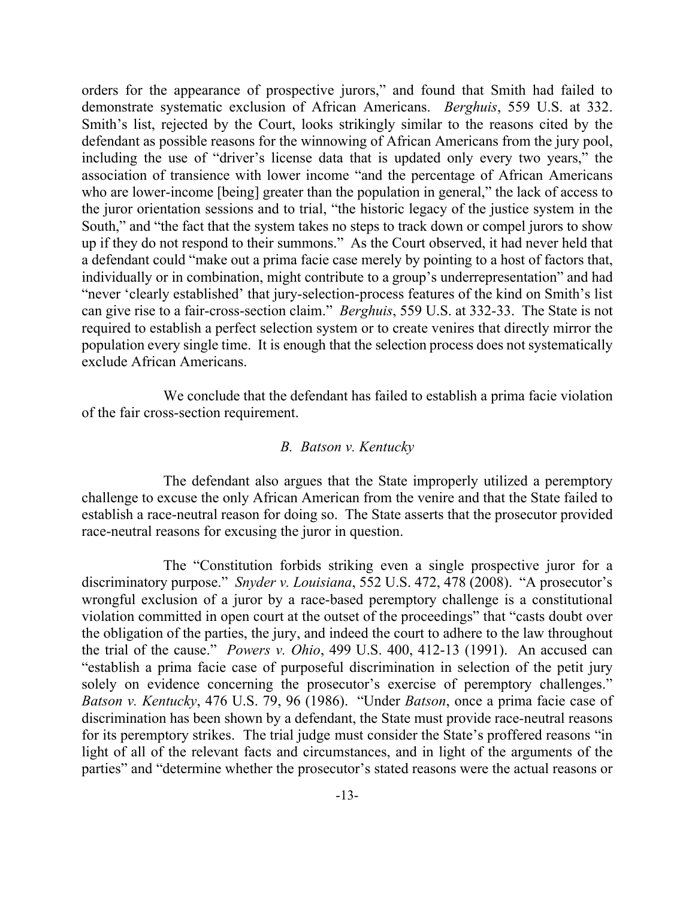orders for the appearance of prospective jurors," and found that Smith had failed to demonstrate systematic exclusion of African Americans. *Berghuis*, 559 U.S. at 332. Smith's list, rejected by the Court, looks strikingly similar to the reasons cited by the defendant as possible reasons for the winnowing of African Americans from the jury pool, including the use of "driver's license data that is updated only every two years," the association of transience with lower income "and the percentage of African Americans who are lower-income [being] greater than the population in general," the lack of access to the juror orientation sessions and to trial, "the historic legacy of the justice system in the South," and "the fact that the system takes no steps to track down or compel jurors to show up if they do not respond to their summons." As the Court observed, it had never held that a defendant could "make out a prima facie case merely by pointing to a host of factors that, individually or in combination, might contribute to a group's underrepresentation" and had "never 'clearly established' that jury-selection-process features of the kind on Smith's list can give rise to a fair-cross-section claim." *Berghuis*, 559 U.S. at 332-33. The State is not required to establish a perfect selection system or to create venires that directly mirror the population every single time. It is enough that the selection process does not systematically exclude African Americans.

We conclude that the defendant has failed to establish a prima facie violation of the fair cross-section requirement.

### *B. Batson v. Kentucky*

The defendant also argues that the State improperly utilized a peremptory challenge to excuse the only African American from the venire and that the State failed to establish a race-neutral reason for doing so. The State asserts that the prosecutor provided race-neutral reasons for excusing the juror in question.

The "Constitution forbids striking even a single prospective juror for a discriminatory purpose." *Snyder v. Louisiana*, 552 U.S. 472, 478 (2008). "A prosecutor's wrongful exclusion of a juror by a race-based peremptory challenge is a constitutional violation committed in open court at the outset of the proceedings" that "casts doubt over the obligation of the parties, the jury, and indeed the court to adhere to the law throughout the trial of the cause." *Powers v. Ohio*, 499 U.S. 400, 412-13 (1991). An accused can "establish a prima facie case of purposeful discrimination in selection of the petit jury solely on evidence concerning the prosecutor's exercise of peremptory challenges." *Batson v. Kentucky*, 476 U.S. 79, 96 (1986). "Under *Batson*, once a prima facie case of discrimination has been shown by a defendant, the State must provide race-neutral reasons for its peremptory strikes. The trial judge must consider the State's proffered reasons "in light of all of the relevant facts and circumstances, and in light of the arguments of the parties" and "determine whether the prosecutor's stated reasons were the actual reasons or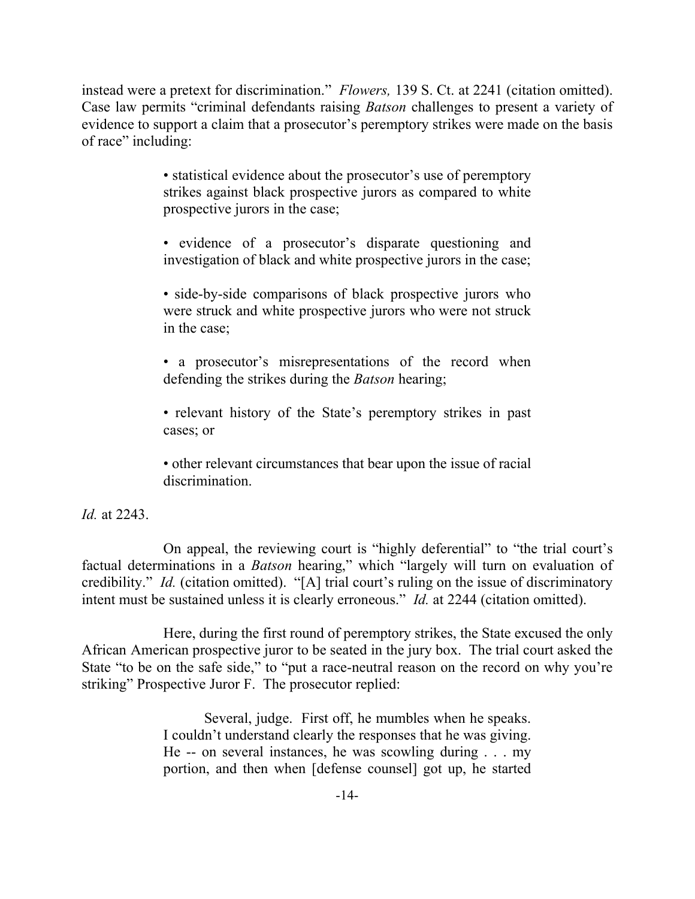instead were a pretext for discrimination." *Flowers,* 139 S. Ct. at 2241 (citation omitted). Case law permits "criminal defendants raising *Batson* challenges to present a variety of evidence to support a claim that a prosecutor's peremptory strikes were made on the basis of race" including:

> • statistical evidence about the prosecutor's use of peremptory strikes against black prospective jurors as compared to white prospective jurors in the case;

> • evidence of a prosecutor's disparate questioning and investigation of black and white prospective jurors in the case;

> • side-by-side comparisons of black prospective jurors who were struck and white prospective jurors who were not struck in the case;

> • a prosecutor's misrepresentations of the record when defending the strikes during the *Batson* hearing;

> • relevant history of the State's peremptory strikes in past cases; or

> • other relevant circumstances that bear upon the issue of racial discrimination.

*Id.* at 2243.

On appeal, the reviewing court is "highly deferential" to "the trial court's factual determinations in a *Batson* hearing," which "largely will turn on evaluation of credibility." *Id.* (citation omitted). "[A] trial court's ruling on the issue of discriminatory intent must be sustained unless it is clearly erroneous." *Id.* at 2244 (citation omitted).

Here, during the first round of peremptory strikes, the State excused the only African American prospective juror to be seated in the jury box. The trial court asked the State "to be on the safe side," to "put a race-neutral reason on the record on why you're striking" Prospective Juror F. The prosecutor replied:

> Several, judge. First off, he mumbles when he speaks. I couldn't understand clearly the responses that he was giving. He -- on several instances, he was scowling during . . . my portion, and then when [defense counsel] got up, he started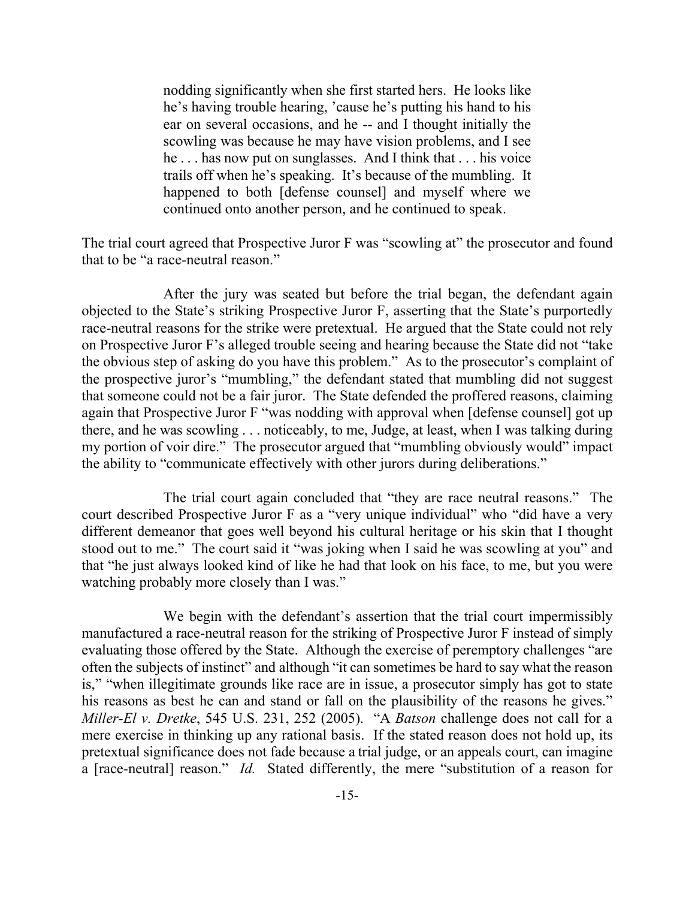nodding significantly when she first started hers. He looks like he's having trouble hearing, 'cause he's putting his hand to his ear on several occasions, and he -- and I thought initially the scowling was because he may have vision problems, and I see he . . . has now put on sunglasses. And I think that . . . his voice trails off when he's speaking. It's because of the mumbling. It happened to both [defense counsel] and myself where we continued onto another person, and he continued to speak.

The trial court agreed that Prospective Juror F was "scowling at" the prosecutor and found that to be "a race-neutral reason."

After the jury was seated but before the trial began, the defendant again objected to the State's striking Prospective Juror F, asserting that the State's purportedly race-neutral reasons for the strike were pretextual. He argued that the State could not rely on Prospective Juror F's alleged trouble seeing and hearing because the State did not "take the obvious step of asking do you have this problem." As to the prosecutor's complaint of the prospective juror's "mumbling," the defendant stated that mumbling did not suggest that someone could not be a fair juror. The State defended the proffered reasons, claiming again that Prospective Juror F "was nodding with approval when [defense counsel] got up there, and he was scowling . . . noticeably, to me, Judge, at least, when I was talking during my portion of voir dire." The prosecutor argued that "mumbling obviously would" impact the ability to "communicate effectively with other jurors during deliberations."

The trial court again concluded that "they are race neutral reasons." The court described Prospective Juror F as a "very unique individual" who "did have a very different demeanor that goes well beyond his cultural heritage or his skin that I thought stood out to me." The court said it "was joking when I said he was scowling at you" and that "he just always looked kind of like he had that look on his face, to me, but you were watching probably more closely than I was."

We begin with the defendant's assertion that the trial court impermissibly manufactured a race-neutral reason for the striking of Prospective Juror F instead of simply evaluating those offered by the State. Although the exercise of peremptory challenges "are often the subjects of instinct" and although "it can sometimes be hard to say what the reason is," "when illegitimate grounds like race are in issue, a prosecutor simply has got to state his reasons as best he can and stand or fall on the plausibility of the reasons he gives." *Miller-El v. Dretke*, 545 U.S. 231, 252 (2005). "A *Batson* challenge does not call for a mere exercise in thinking up any rational basis. If the stated reason does not hold up, its pretextual significance does not fade because a trial judge, or an appeals court, can imagine a [race-neutral] reason." *Id.* Stated differently, the mere "substitution of a reason for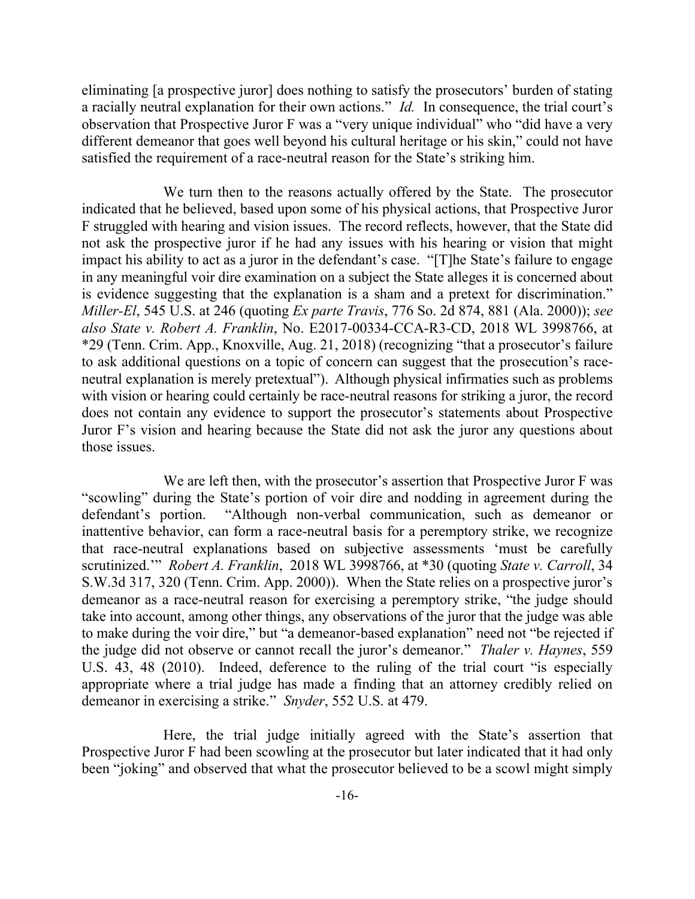eliminating [a prospective juror] does nothing to satisfy the prosecutors' burden of stating a racially neutral explanation for their own actions." *Id.* In consequence, the trial court's observation that Prospective Juror F was a "very unique individual" who "did have a very different demeanor that goes well beyond his cultural heritage or his skin," could not have satisfied the requirement of a race-neutral reason for the State's striking him.

We turn then to the reasons actually offered by the State. The prosecutor indicated that he believed, based upon some of his physical actions, that Prospective Juror F struggled with hearing and vision issues. The record reflects, however, that the State did not ask the prospective juror if he had any issues with his hearing or vision that might impact his ability to act as a juror in the defendant's case. "[T]he State's failure to engage in any meaningful voir dire examination on a subject the State alleges it is concerned about is evidence suggesting that the explanation is a sham and a pretext for discrimination." *Miller-El*, 545 U.S. at 246 (quoting *Ex parte Travis*, 776 So. 2d 874, 881 (Ala. 2000)); *see also State v. Robert A. Franklin*, No. E2017-00334-CCA-R3-CD, 2018 WL 3998766, at \*29 (Tenn. Crim. App., Knoxville, Aug. 21, 2018) (recognizing "that a prosecutor's failure to ask additional questions on a topic of concern can suggest that the prosecution's raceneutral explanation is merely pretextual"). Although physical infirmaties such as problems with vision or hearing could certainly be race-neutral reasons for striking a juror, the record does not contain any evidence to support the prosecutor's statements about Prospective Juror F's vision and hearing because the State did not ask the juror any questions about those issues.

We are left then, with the prosecutor's assertion that Prospective Juror F was "scowling" during the State's portion of voir dire and nodding in agreement during the defendant's portion. "Although non-verbal communication, such as demeanor or inattentive behavior, can form a race-neutral basis for a peremptory strike, we recognize that race-neutral explanations based on subjective assessments 'must be carefully scrutinized.'" *Robert A. Franklin*, 2018 WL 3998766, at \*30 (quoting *State v. Carroll*, 34 S.W.3d 317, 320 (Tenn. Crim. App. 2000)). When the State relies on a prospective juror's demeanor as a race-neutral reason for exercising a peremptory strike, "the judge should take into account, among other things, any observations of the juror that the judge was able to make during the voir dire," but "a demeanor-based explanation" need not "be rejected if the judge did not observe or cannot recall the juror's demeanor." *Thaler v. Haynes*, 559 U.S. 43, 48 (2010). Indeed, deference to the ruling of the trial court "is especially appropriate where a trial judge has made a finding that an attorney credibly relied on demeanor in exercising a strike." *Snyder*, 552 U.S. at 479.

Here, the trial judge initially agreed with the State's assertion that Prospective Juror F had been scowling at the prosecutor but later indicated that it had only been "joking" and observed that what the prosecutor believed to be a scowl might simply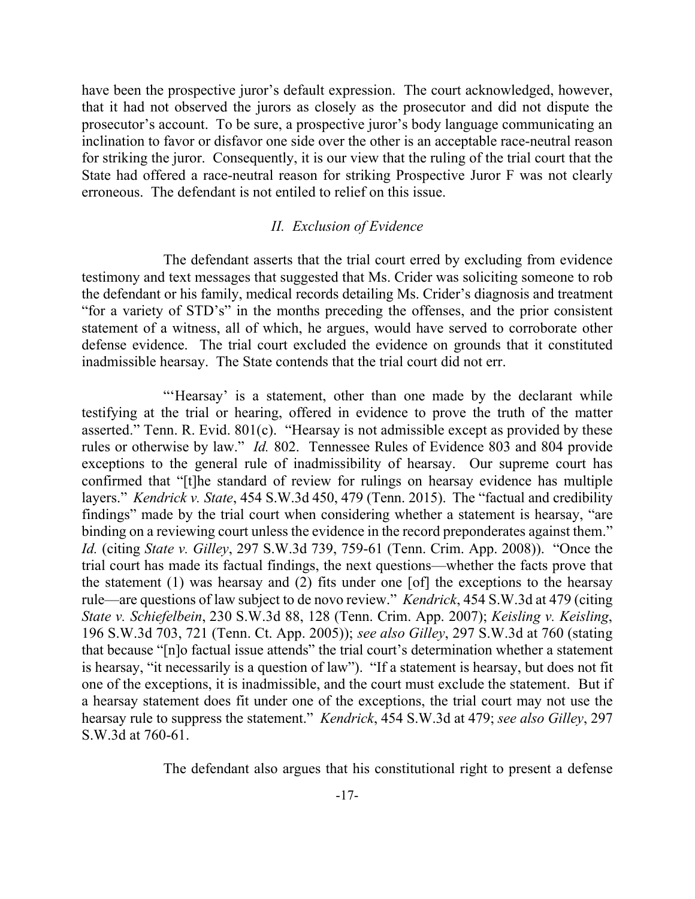have been the prospective juror's default expression. The court acknowledged, however, that it had not observed the jurors as closely as the prosecutor and did not dispute the prosecutor's account. To be sure, a prospective juror's body language communicating an inclination to favor or disfavor one side over the other is an acceptable race-neutral reason for striking the juror. Consequently, it is our view that the ruling of the trial court that the State had offered a race-neutral reason for striking Prospective Juror F was not clearly erroneous. The defendant is not entiled to relief on this issue.

### *II. Exclusion of Evidence*

The defendant asserts that the trial court erred by excluding from evidence testimony and text messages that suggested that Ms. Crider was soliciting someone to rob the defendant or his family, medical records detailing Ms. Crider's diagnosis and treatment "for a variety of STD's" in the months preceding the offenses, and the prior consistent statement of a witness, all of which, he argues, would have served to corroborate other defense evidence. The trial court excluded the evidence on grounds that it constituted inadmissible hearsay. The State contends that the trial court did not err.

"'Hearsay' is a statement, other than one made by the declarant while testifying at the trial or hearing, offered in evidence to prove the truth of the matter asserted." Tenn. R. Evid. 801(c). "Hearsay is not admissible except as provided by these rules or otherwise by law." *Id.* 802. Tennessee Rules of Evidence 803 and 804 provide exceptions to the general rule of inadmissibility of hearsay. Our supreme court has confirmed that "[t]he standard of review for rulings on hearsay evidence has multiple layers." *Kendrick v. State*, 454 S.W.3d 450, 479 (Tenn. 2015). The "factual and credibility findings" made by the trial court when considering whether a statement is hearsay, "are binding on a reviewing court unless the evidence in the record preponderates against them." *Id.* (citing *State v. Gilley*, 297 S.W.3d 739, 759-61 (Tenn. Crim. App. 2008)). "Once the trial court has made its factual findings, the next questions—whether the facts prove that the statement (1) was hearsay and (2) fits under one [of] the exceptions to the hearsay rule—are questions of law subject to de novo review." *Kendrick*, 454 S.W.3d at 479 (citing *State v. Schiefelbein*, 230 S.W.3d 88, 128 (Tenn. Crim. App. 2007); *Keisling v. Keisling*, 196 S.W.3d 703, 721 (Tenn. Ct. App. 2005)); *see also Gilley*, 297 S.W.3d at 760 (stating that because "[n]o factual issue attends" the trial court's determination whether a statement is hearsay, "it necessarily is a question of law"). "If a statement is hearsay, but does not fit one of the exceptions, it is inadmissible, and the court must exclude the statement. But if a hearsay statement does fit under one of the exceptions, the trial court may not use the hearsay rule to suppress the statement." *Kendrick*, 454 S.W.3d at 479; *see also Gilley*, 297 S.W.3d at 760-61.

The defendant also argues that his constitutional right to present a defense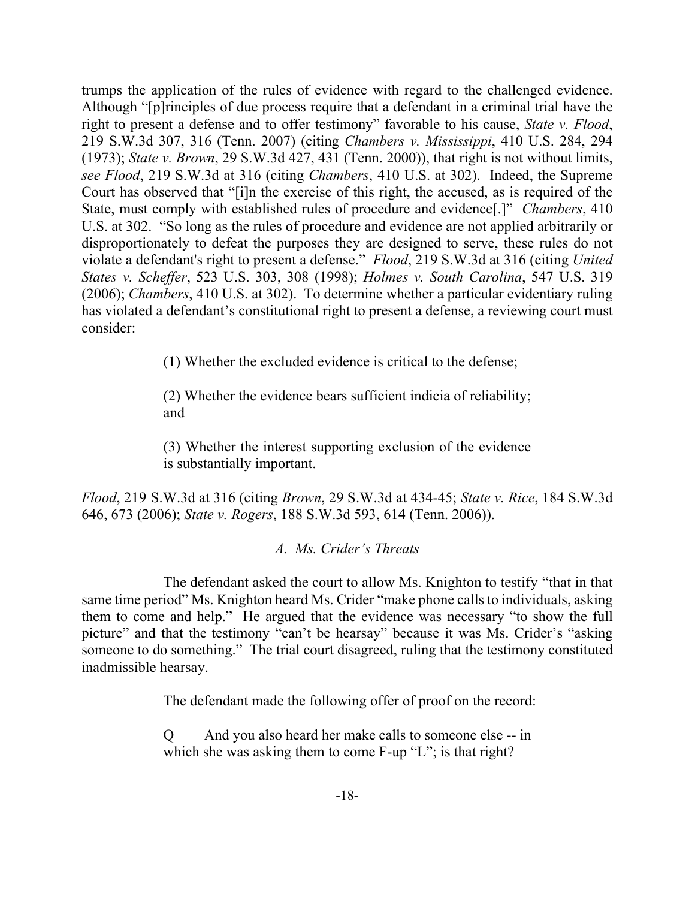trumps the application of the rules of evidence with regard to the challenged evidence. Although "[p]rinciples of due process require that a defendant in a criminal trial have the right to present a defense and to offer testimony" favorable to his cause, *State v. Flood*, 219 S.W.3d 307, 316 (Tenn. 2007) (citing *Chambers v. Mississippi*, 410 U.S. 284, 294 (1973); *State v. Brown*, 29 S.W.3d 427, 431 (Tenn. 2000)), that right is not without limits, *see Flood*, 219 S.W.3d at 316 (citing *Chambers*, 410 U.S. at 302). Indeed, the Supreme Court has observed that "[i]n the exercise of this right, the accused, as is required of the State, must comply with established rules of procedure and evidence[.]" *Chambers*, 410 U.S. at 302. "So long as the rules of procedure and evidence are not applied arbitrarily or disproportionately to defeat the purposes they are designed to serve, these rules do not violate a defendant's right to present a defense." *Flood*, 219 S.W.3d at 316 (citing *United States v. Scheffer*, 523 U.S. 303, 308 (1998); *Holmes v. South Carolina*, 547 U.S. 319 (2006); *Chambers*, 410 U.S. at 302). To determine whether a particular evidentiary ruling has violated a defendant's constitutional right to present a defense, a reviewing court must consider:

(1) Whether the excluded evidence is critical to the defense;

(2) Whether the evidence bears sufficient indicia of reliability; and

(3) Whether the interest supporting exclusion of the evidence is substantially important.

*Flood*, 219 S.W.3d at 316 (citing *Brown*, 29 S.W.3d at 434-45; *State v. Rice*, 184 S.W.3d 646, 673 (2006); *State v. Rogers*, 188 S.W.3d 593, 614 (Tenn. 2006)).

# *A. Ms. Crider's Threats*

The defendant asked the court to allow Ms. Knighton to testify "that in that same time period" Ms. Knighton heard Ms. Crider "make phone calls to individuals, asking them to come and help." He argued that the evidence was necessary "to show the full picture" and that the testimony "can't be hearsay" because it was Ms. Crider's "asking someone to do something." The trial court disagreed, ruling that the testimony constituted inadmissible hearsay.

The defendant made the following offer of proof on the record:

Q And you also heard her make calls to someone else -- in which she was asking them to come F-up "L"; is that right?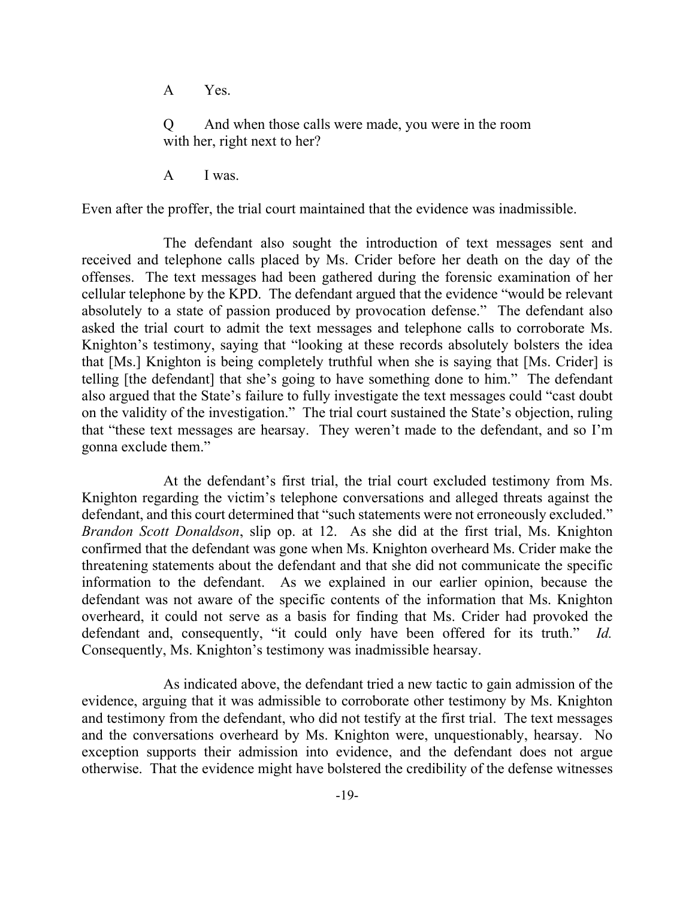A Yes.

Q And when those calls were made, you were in the room with her, right next to her?

A I was.

Even after the proffer, the trial court maintained that the evidence was inadmissible.

The defendant also sought the introduction of text messages sent and received and telephone calls placed by Ms. Crider before her death on the day of the offenses. The text messages had been gathered during the forensic examination of her cellular telephone by the KPD. The defendant argued that the evidence "would be relevant absolutely to a state of passion produced by provocation defense." The defendant also asked the trial court to admit the text messages and telephone calls to corroborate Ms. Knighton's testimony, saying that "looking at these records absolutely bolsters the idea that [Ms.] Knighton is being completely truthful when she is saying that [Ms. Crider] is telling [the defendant] that she's going to have something done to him." The defendant also argued that the State's failure to fully investigate the text messages could "cast doubt on the validity of the investigation." The trial court sustained the State's objection, ruling that "these text messages are hearsay. They weren't made to the defendant, and so I'm gonna exclude them."

At the defendant's first trial, the trial court excluded testimony from Ms. Knighton regarding the victim's telephone conversations and alleged threats against the defendant, and this court determined that "such statements were not erroneously excluded." *Brandon Scott Donaldson*, slip op. at 12. As she did at the first trial, Ms. Knighton confirmed that the defendant was gone when Ms. Knighton overheard Ms. Crider make the threatening statements about the defendant and that she did not communicate the specific information to the defendant. As we explained in our earlier opinion, because the defendant was not aware of the specific contents of the information that Ms. Knighton overheard, it could not serve as a basis for finding that Ms. Crider had provoked the defendant and, consequently, "it could only have been offered for its truth." *Id.* Consequently, Ms. Knighton's testimony was inadmissible hearsay.

As indicated above, the defendant tried a new tactic to gain admission of the evidence, arguing that it was admissible to corroborate other testimony by Ms. Knighton and testimony from the defendant, who did not testify at the first trial. The text messages and the conversations overheard by Ms. Knighton were, unquestionably, hearsay. No exception supports their admission into evidence, and the defendant does not argue otherwise. That the evidence might have bolstered the credibility of the defense witnesses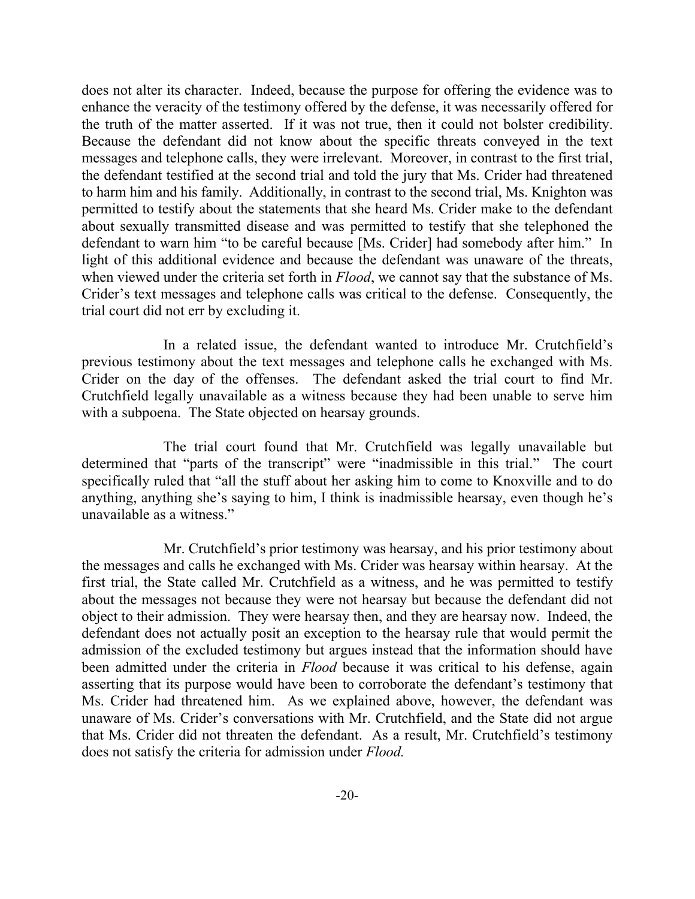does not alter its character. Indeed, because the purpose for offering the evidence was to enhance the veracity of the testimony offered by the defense, it was necessarily offered for the truth of the matter asserted. If it was not true, then it could not bolster credibility. Because the defendant did not know about the specific threats conveyed in the text messages and telephone calls, they were irrelevant. Moreover, in contrast to the first trial, the defendant testified at the second trial and told the jury that Ms. Crider had threatened to harm him and his family. Additionally, in contrast to the second trial, Ms. Knighton was permitted to testify about the statements that she heard Ms. Crider make to the defendant about sexually transmitted disease and was permitted to testify that she telephoned the defendant to warn him "to be careful because [Ms. Crider] had somebody after him." In light of this additional evidence and because the defendant was unaware of the threats, when viewed under the criteria set forth in *Flood*, we cannot say that the substance of Ms. Crider's text messages and telephone calls was critical to the defense. Consequently, the trial court did not err by excluding it.

In a related issue, the defendant wanted to introduce Mr. Crutchfield's previous testimony about the text messages and telephone calls he exchanged with Ms. Crider on the day of the offenses. The defendant asked the trial court to find Mr. Crutchfield legally unavailable as a witness because they had been unable to serve him with a subpoena. The State objected on hearsay grounds.

The trial court found that Mr. Crutchfield was legally unavailable but determined that "parts of the transcript" were "inadmissible in this trial." The court specifically ruled that "all the stuff about her asking him to come to Knoxville and to do anything, anything she's saying to him, I think is inadmissible hearsay, even though he's unavailable as a witness."

Mr. Crutchfield's prior testimony was hearsay, and his prior testimony about the messages and calls he exchanged with Ms. Crider was hearsay within hearsay. At the first trial, the State called Mr. Crutchfield as a witness, and he was permitted to testify about the messages not because they were not hearsay but because the defendant did not object to their admission. They were hearsay then, and they are hearsay now. Indeed, the defendant does not actually posit an exception to the hearsay rule that would permit the admission of the excluded testimony but argues instead that the information should have been admitted under the criteria in *Flood* because it was critical to his defense, again asserting that its purpose would have been to corroborate the defendant's testimony that Ms. Crider had threatened him. As we explained above, however, the defendant was unaware of Ms. Crider's conversations with Mr. Crutchfield, and the State did not argue that Ms. Crider did not threaten the defendant. As a result, Mr. Crutchfield's testimony does not satisfy the criteria for admission under *Flood.*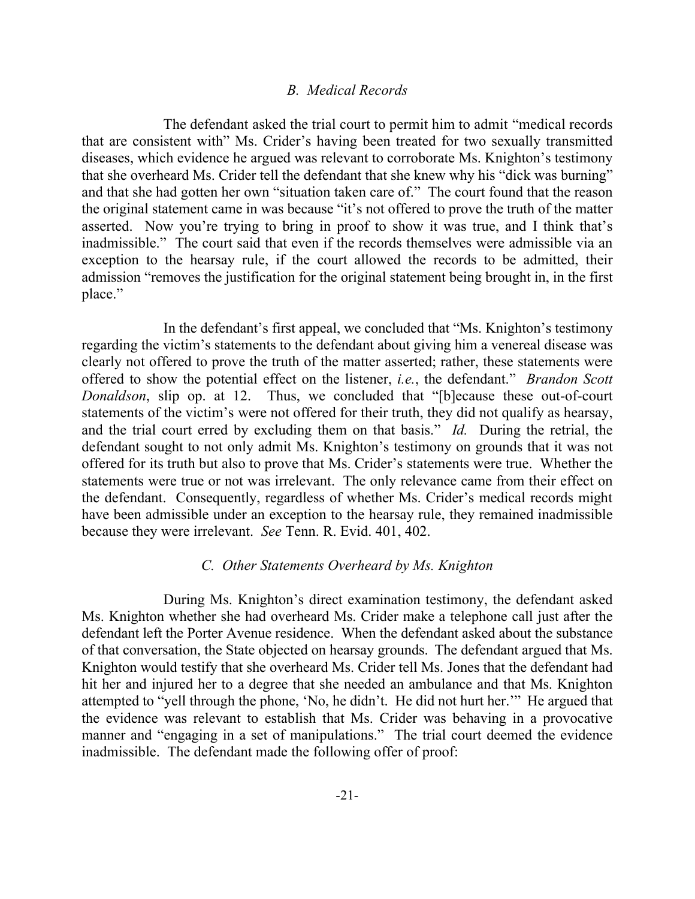### *B. Medical Records*

The defendant asked the trial court to permit him to admit "medical records that are consistent with" Ms. Crider's having been treated for two sexually transmitted diseases, which evidence he argued was relevant to corroborate Ms. Knighton's testimony that she overheard Ms. Crider tell the defendant that she knew why his "dick was burning" and that she had gotten her own "situation taken care of." The court found that the reason the original statement came in was because "it's not offered to prove the truth of the matter asserted. Now you're trying to bring in proof to show it was true, and I think that's inadmissible." The court said that even if the records themselves were admissible via an exception to the hearsay rule, if the court allowed the records to be admitted, their admission "removes the justification for the original statement being brought in, in the first place."

In the defendant's first appeal, we concluded that "Ms. Knighton's testimony regarding the victim's statements to the defendant about giving him a venereal disease was clearly not offered to prove the truth of the matter asserted; rather, these statements were offered to show the potential effect on the listener, *i.e.*, the defendant." *Brandon Scott Donaldson*, slip op. at 12. Thus, we concluded that "[b]ecause these out-of-court statements of the victim's were not offered for their truth, they did not qualify as hearsay, and the trial court erred by excluding them on that basis." *Id.* During the retrial, the defendant sought to not only admit Ms. Knighton's testimony on grounds that it was not offered for its truth but also to prove that Ms. Crider's statements were true. Whether the statements were true or not was irrelevant. The only relevance came from their effect on the defendant. Consequently, regardless of whether Ms. Crider's medical records might have been admissible under an exception to the hearsay rule, they remained inadmissible because they were irrelevant. *See* Tenn. R. Evid. 401, 402.

### *C. Other Statements Overheard by Ms. Knighton*

During Ms. Knighton's direct examination testimony, the defendant asked Ms. Knighton whether she had overheard Ms. Crider make a telephone call just after the defendant left the Porter Avenue residence. When the defendant asked about the substance of that conversation, the State objected on hearsay grounds. The defendant argued that Ms. Knighton would testify that she overheard Ms. Crider tell Ms. Jones that the defendant had hit her and injured her to a degree that she needed an ambulance and that Ms. Knighton attempted to "yell through the phone, 'No, he didn't. He did not hurt her.'" He argued that the evidence was relevant to establish that Ms. Crider was behaving in a provocative manner and "engaging in a set of manipulations." The trial court deemed the evidence inadmissible. The defendant made the following offer of proof: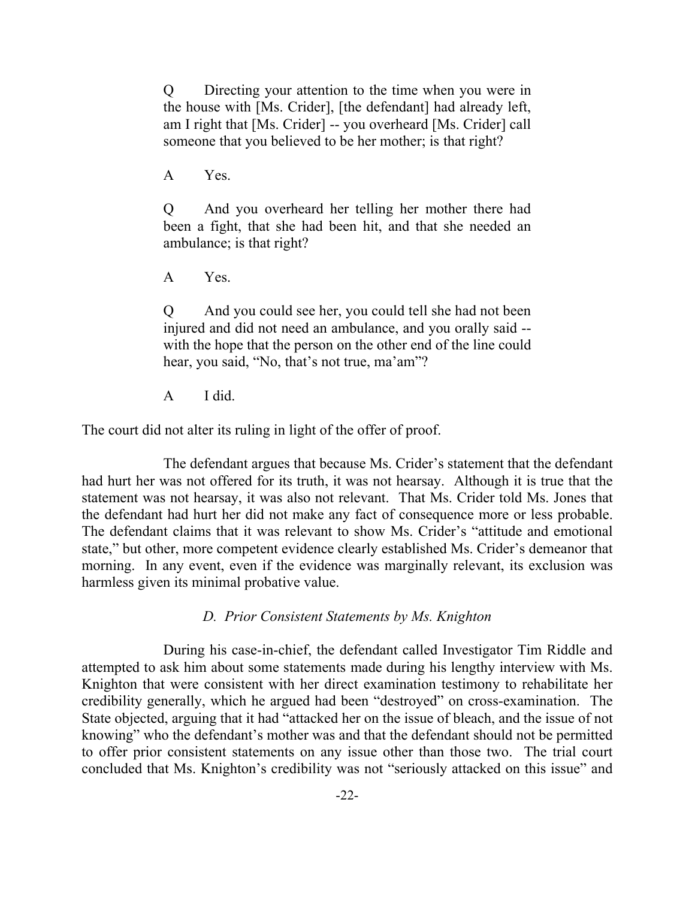Q Directing your attention to the time when you were in the house with [Ms. Crider], [the defendant] had already left, am I right that [Ms. Crider] -- you overheard [Ms. Crider] call someone that you believed to be her mother; is that right?

A Yes.

Q And you overheard her telling her mother there had been a fight, that she had been hit, and that she needed an ambulance; is that right?

A Yes.

Q And you could see her, you could tell she had not been injured and did not need an ambulance, and you orally said - with the hope that the person on the other end of the line could hear, you said, "No, that's not true, ma'am"?

A I did.

The court did not alter its ruling in light of the offer of proof.

The defendant argues that because Ms. Crider's statement that the defendant had hurt her was not offered for its truth, it was not hearsay. Although it is true that the statement was not hearsay, it was also not relevant. That Ms. Crider told Ms. Jones that the defendant had hurt her did not make any fact of consequence more or less probable. The defendant claims that it was relevant to show Ms. Crider's "attitude and emotional state," but other, more competent evidence clearly established Ms. Crider's demeanor that morning. In any event, even if the evidence was marginally relevant, its exclusion was harmless given its minimal probative value.

*D. Prior Consistent Statements by Ms. Knighton*

During his case-in-chief, the defendant called Investigator Tim Riddle and attempted to ask him about some statements made during his lengthy interview with Ms. Knighton that were consistent with her direct examination testimony to rehabilitate her credibility generally, which he argued had been "destroyed" on cross-examination. The State objected, arguing that it had "attacked her on the issue of bleach, and the issue of not knowing" who the defendant's mother was and that the defendant should not be permitted to offer prior consistent statements on any issue other than those two. The trial court concluded that Ms. Knighton's credibility was not "seriously attacked on this issue" and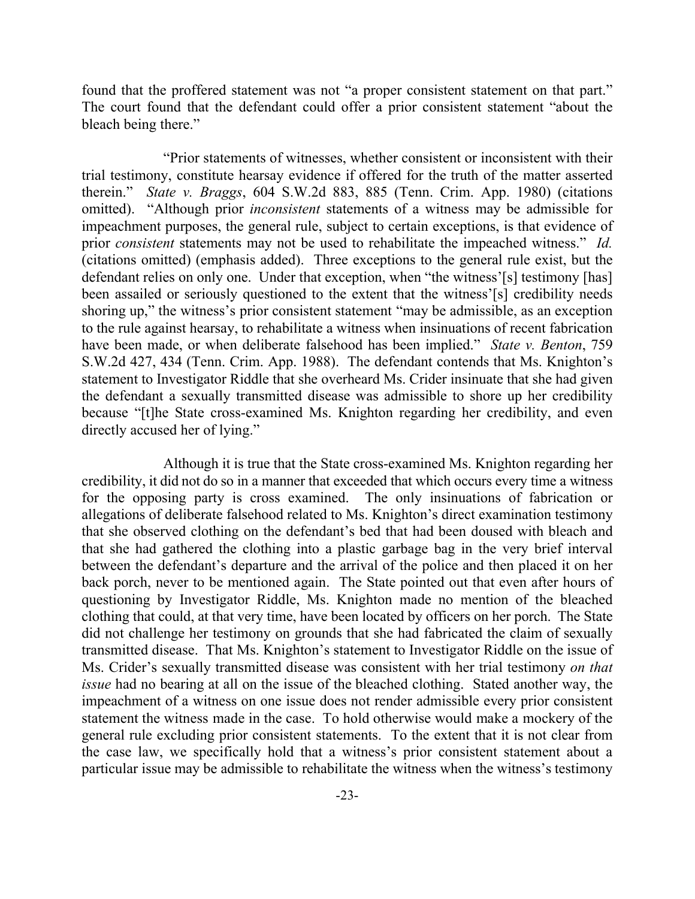found that the proffered statement was not "a proper consistent statement on that part." The court found that the defendant could offer a prior consistent statement "about the bleach being there."

"Prior statements of witnesses, whether consistent or inconsistent with their trial testimony, constitute hearsay evidence if offered for the truth of the matter asserted therein." *State v. Braggs*, 604 S.W.2d 883, 885 (Tenn. Crim. App. 1980) (citations omitted). "Although prior *inconsistent* statements of a witness may be admissible for impeachment purposes, the general rule, subject to certain exceptions, is that evidence of prior *consistent* statements may not be used to rehabilitate the impeached witness." *Id.* (citations omitted) (emphasis added). Three exceptions to the general rule exist, but the defendant relies on only one. Under that exception, when "the witness'[s] testimony [has] been assailed or seriously questioned to the extent that the witness'[s] credibility needs shoring up," the witness's prior consistent statement "may be admissible, as an exception to the rule against hearsay, to rehabilitate a witness when insinuations of recent fabrication have been made, or when deliberate falsehood has been implied." *State v. Benton*, 759 S.W.2d 427, 434 (Tenn. Crim. App. 1988). The defendant contends that Ms. Knighton's statement to Investigator Riddle that she overheard Ms. Crider insinuate that she had given the defendant a sexually transmitted disease was admissible to shore up her credibility because "[t]he State cross-examined Ms. Knighton regarding her credibility, and even directly accused her of lying."

Although it is true that the State cross-examined Ms. Knighton regarding her credibility, it did not do so in a manner that exceeded that which occurs every time a witness for the opposing party is cross examined. The only insinuations of fabrication or allegations of deliberate falsehood related to Ms. Knighton's direct examination testimony that she observed clothing on the defendant's bed that had been doused with bleach and that she had gathered the clothing into a plastic garbage bag in the very brief interval between the defendant's departure and the arrival of the police and then placed it on her back porch, never to be mentioned again. The State pointed out that even after hours of questioning by Investigator Riddle, Ms. Knighton made no mention of the bleached clothing that could, at that very time, have been located by officers on her porch. The State did not challenge her testimony on grounds that she had fabricated the claim of sexually transmitted disease. That Ms. Knighton's statement to Investigator Riddle on the issue of Ms. Crider's sexually transmitted disease was consistent with her trial testimony *on that issue* had no bearing at all on the issue of the bleached clothing. Stated another way, the impeachment of a witness on one issue does not render admissible every prior consistent statement the witness made in the case. To hold otherwise would make a mockery of the general rule excluding prior consistent statements. To the extent that it is not clear from the case law, we specifically hold that a witness's prior consistent statement about a particular issue may be admissible to rehabilitate the witness when the witness's testimony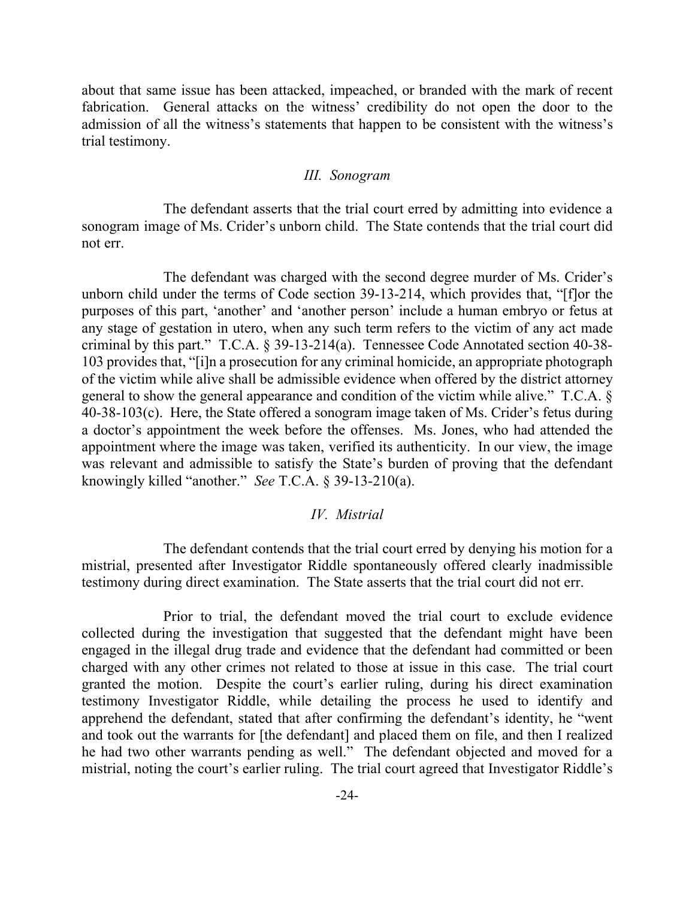about that same issue has been attacked, impeached, or branded with the mark of recent fabrication. General attacks on the witness' credibility do not open the door to the admission of all the witness's statements that happen to be consistent with the witness's trial testimony.

### *III. Sonogram*

The defendant asserts that the trial court erred by admitting into evidence a sonogram image of Ms. Crider's unborn child. The State contends that the trial court did not err.

The defendant was charged with the second degree murder of Ms. Crider's unborn child under the terms of Code section 39-13-214, which provides that, "[f]or the purposes of this part, 'another' and 'another person' include a human embryo or fetus at any stage of gestation in utero, when any such term refers to the victim of any act made criminal by this part." T.C.A. § 39-13-214(a). Tennessee Code Annotated section 40-38- 103 provides that, "[i]n a prosecution for any criminal homicide, an appropriate photograph of the victim while alive shall be admissible evidence when offered by the district attorney general to show the general appearance and condition of the victim while alive." T.C.A. § 40-38-103(c). Here, the State offered a sonogram image taken of Ms. Crider's fetus during a doctor's appointment the week before the offenses. Ms. Jones, who had attended the appointment where the image was taken, verified its authenticity. In our view, the image was relevant and admissible to satisfy the State's burden of proving that the defendant knowingly killed "another." *See* T.C.A. § 39-13-210(a).

## *IV. Mistrial*

The defendant contends that the trial court erred by denying his motion for a mistrial, presented after Investigator Riddle spontaneously offered clearly inadmissible testimony during direct examination. The State asserts that the trial court did not err.

Prior to trial, the defendant moved the trial court to exclude evidence collected during the investigation that suggested that the defendant might have been engaged in the illegal drug trade and evidence that the defendant had committed or been charged with any other crimes not related to those at issue in this case. The trial court granted the motion. Despite the court's earlier ruling, during his direct examination testimony Investigator Riddle, while detailing the process he used to identify and apprehend the defendant, stated that after confirming the defendant's identity, he "went and took out the warrants for [the defendant] and placed them on file, and then I realized he had two other warrants pending as well." The defendant objected and moved for a mistrial, noting the court's earlier ruling. The trial court agreed that Investigator Riddle's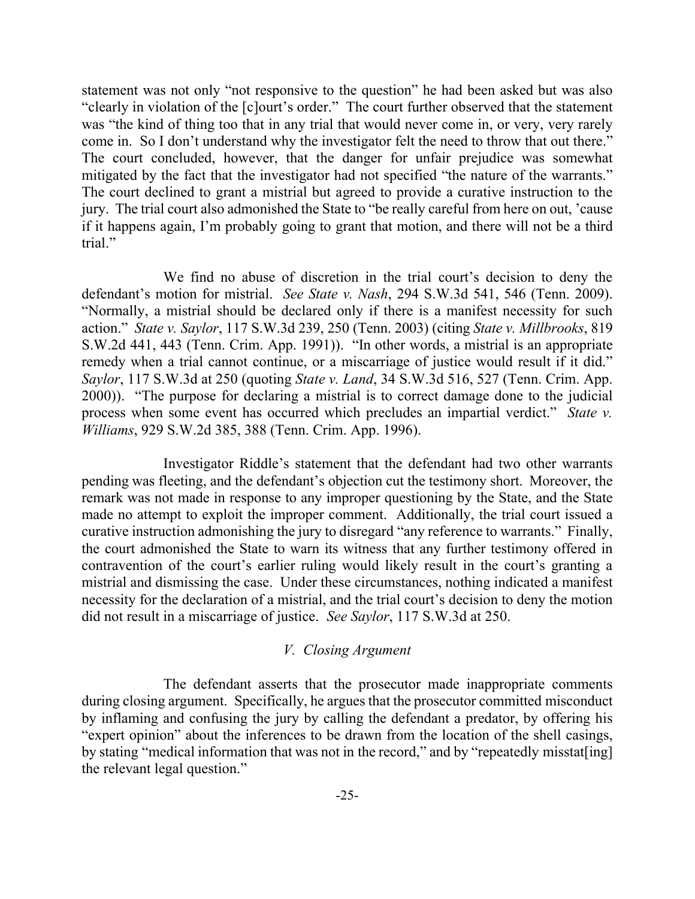statement was not only "not responsive to the question" he had been asked but was also "clearly in violation of the [c]ourt's order." The court further observed that the statement was "the kind of thing too that in any trial that would never come in, or very, very rarely come in. So I don't understand why the investigator felt the need to throw that out there." The court concluded, however, that the danger for unfair prejudice was somewhat mitigated by the fact that the investigator had not specified "the nature of the warrants." The court declined to grant a mistrial but agreed to provide a curative instruction to the jury. The trial court also admonished the State to "be really careful from here on out, 'cause if it happens again, I'm probably going to grant that motion, and there will not be a third trial."

We find no abuse of discretion in the trial court's decision to deny the defendant's motion for mistrial. *See State v. Nash*, 294 S.W.3d 541, 546 (Tenn. 2009). "Normally, a mistrial should be declared only if there is a manifest necessity for such action." *State v. Saylor*, 117 S.W.3d 239, 250 (Tenn. 2003) (citing *State v. Millbrooks*, 819 S.W.2d 441, 443 (Tenn. Crim. App. 1991)). "In other words, a mistrial is an appropriate remedy when a trial cannot continue, or a miscarriage of justice would result if it did." *Saylor*, 117 S.W.3d at 250 (quoting *State v. Land*, 34 S.W.3d 516, 527 (Tenn. Crim. App. 2000)). "The purpose for declaring a mistrial is to correct damage done to the judicial process when some event has occurred which precludes an impartial verdict." *State v. Williams*, 929 S.W.2d 385, 388 (Tenn. Crim. App. 1996).

Investigator Riddle's statement that the defendant had two other warrants pending was fleeting, and the defendant's objection cut the testimony short. Moreover, the remark was not made in response to any improper questioning by the State, and the State made no attempt to exploit the improper comment. Additionally, the trial court issued a curative instruction admonishing the jury to disregard "any reference to warrants." Finally, the court admonished the State to warn its witness that any further testimony offered in contravention of the court's earlier ruling would likely result in the court's granting a mistrial and dismissing the case. Under these circumstances, nothing indicated a manifest necessity for the declaration of a mistrial, and the trial court's decision to deny the motion did not result in a miscarriage of justice. *See Saylor*, 117 S.W.3d at 250.

### *V. Closing Argument*

The defendant asserts that the prosecutor made inappropriate comments during closing argument. Specifically, he argues that the prosecutor committed misconduct by inflaming and confusing the jury by calling the defendant a predator, by offering his "expert opinion" about the inferences to be drawn from the location of the shell casings, by stating "medical information that was not in the record," and by "repeatedly misstat[ing] the relevant legal question."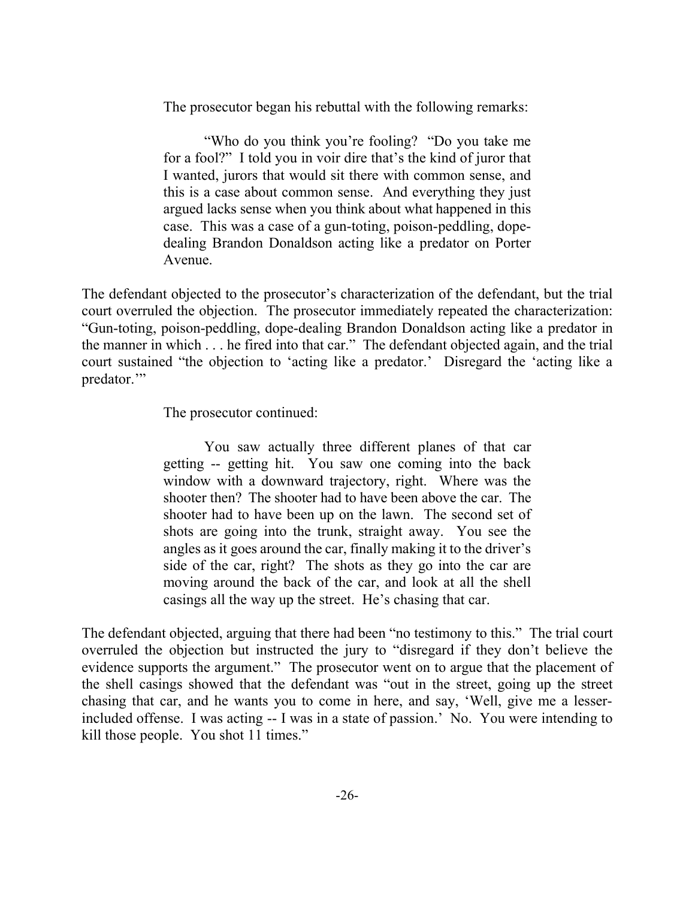The prosecutor began his rebuttal with the following remarks:

"Who do you think you're fooling? "Do you take me for a fool?" I told you in voir dire that's the kind of juror that I wanted, jurors that would sit there with common sense, and this is a case about common sense. And everything they just argued lacks sense when you think about what happened in this case. This was a case of a gun-toting, poison-peddling, dopedealing Brandon Donaldson acting like a predator on Porter Avenue.

The defendant objected to the prosecutor's characterization of the defendant, but the trial court overruled the objection. The prosecutor immediately repeated the characterization: "Gun-toting, poison-peddling, dope-dealing Brandon Donaldson acting like a predator in the manner in which . . . he fired into that car." The defendant objected again, and the trial court sustained "the objection to 'acting like a predator.' Disregard the 'acting like a predator."

The prosecutor continued:

You saw actually three different planes of that car getting -- getting hit. You saw one coming into the back window with a downward trajectory, right. Where was the shooter then? The shooter had to have been above the car. The shooter had to have been up on the lawn. The second set of shots are going into the trunk, straight away. You see the angles as it goes around the car, finally making it to the driver's side of the car, right? The shots as they go into the car are moving around the back of the car, and look at all the shell casings all the way up the street. He's chasing that car.

The defendant objected, arguing that there had been "no testimony to this." The trial court overruled the objection but instructed the jury to "disregard if they don't believe the evidence supports the argument." The prosecutor went on to argue that the placement of the shell casings showed that the defendant was "out in the street, going up the street chasing that car, and he wants you to come in here, and say, 'Well, give me a lesserincluded offense. I was acting -- I was in a state of passion.' No. You were intending to kill those people. You shot 11 times."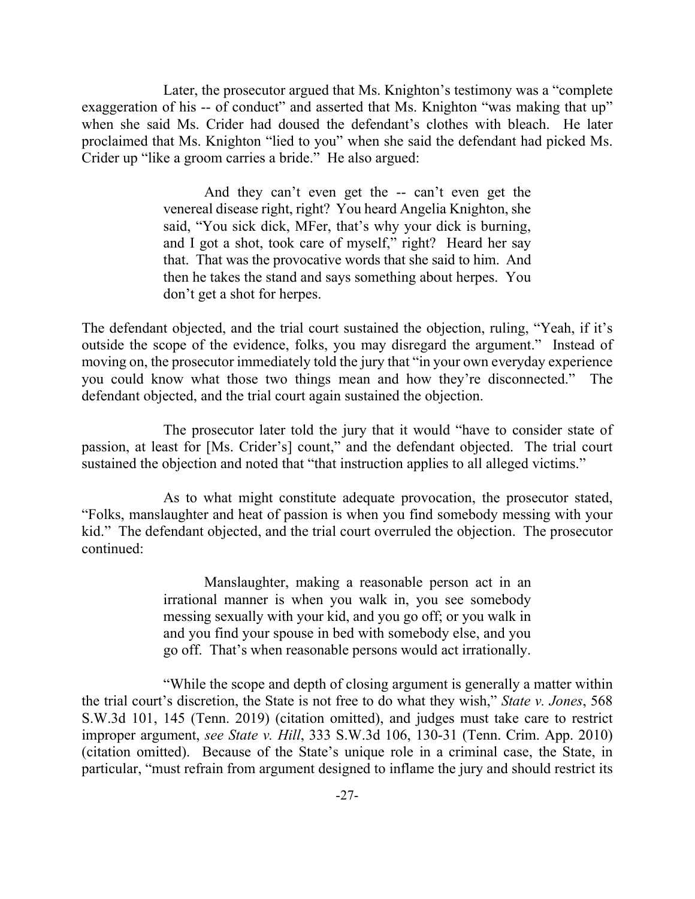Later, the prosecutor argued that Ms. Knighton's testimony was a "complete exaggeration of his -- of conduct" and asserted that Ms. Knighton "was making that up" when she said Ms. Crider had doused the defendant's clothes with bleach. He later proclaimed that Ms. Knighton "lied to you" when she said the defendant had picked Ms. Crider up "like a groom carries a bride." He also argued:

> And they can't even get the -- can't even get the venereal disease right, right? You heard Angelia Knighton, she said, "You sick dick, MFer, that's why your dick is burning, and I got a shot, took care of myself," right? Heard her say that. That was the provocative words that she said to him. And then he takes the stand and says something about herpes. You don't get a shot for herpes.

The defendant objected, and the trial court sustained the objection, ruling, "Yeah, if it's outside the scope of the evidence, folks, you may disregard the argument." Instead of moving on, the prosecutor immediately told the jury that "in your own everyday experience you could know what those two things mean and how they're disconnected." The defendant objected, and the trial court again sustained the objection.

The prosecutor later told the jury that it would "have to consider state of passion, at least for [Ms. Crider's] count," and the defendant objected. The trial court sustained the objection and noted that "that instruction applies to all alleged victims."

As to what might constitute adequate provocation, the prosecutor stated, "Folks, manslaughter and heat of passion is when you find somebody messing with your kid." The defendant objected, and the trial court overruled the objection. The prosecutor continued:

> Manslaughter, making a reasonable person act in an irrational manner is when you walk in, you see somebody messing sexually with your kid, and you go off; or you walk in and you find your spouse in bed with somebody else, and you go off. That's when reasonable persons would act irrationally.

"While the scope and depth of closing argument is generally a matter within the trial court's discretion, the State is not free to do what they wish," *State v. Jones*, 568 S.W.3d 101, 145 (Tenn. 2019) (citation omitted), and judges must take care to restrict improper argument, *see State v. Hill*, 333 S.W.3d 106, 130-31 (Tenn. Crim. App. 2010) (citation omitted). Because of the State's unique role in a criminal case, the State, in particular, "must refrain from argument designed to inflame the jury and should restrict its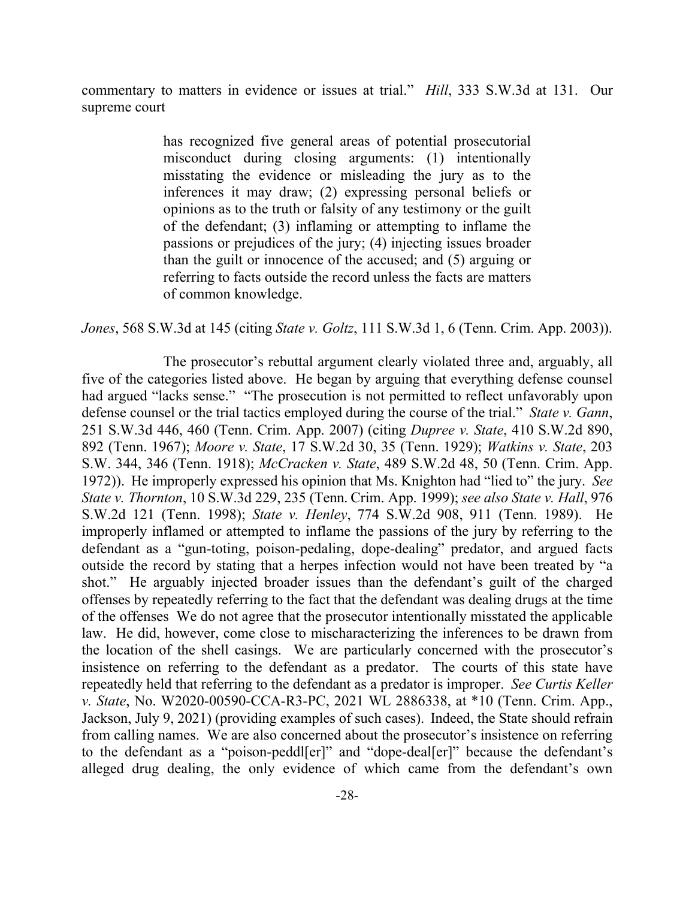commentary to matters in evidence or issues at trial." *Hill*, 333 S.W.3d at 131. Our supreme court

> has recognized five general areas of potential prosecutorial misconduct during closing arguments: (1) intentionally misstating the evidence or misleading the jury as to the inferences it may draw; (2) expressing personal beliefs or opinions as to the truth or falsity of any testimony or the guilt of the defendant; (3) inflaming or attempting to inflame the passions or prejudices of the jury; (4) injecting issues broader than the guilt or innocence of the accused; and (5) arguing or referring to facts outside the record unless the facts are matters of common knowledge.

*Jones*, 568 S.W.3d at 145 (citing *State v. Goltz*, 111 S.W.3d 1, 6 (Tenn. Crim. App. 2003)).

The prosecutor's rebuttal argument clearly violated three and, arguably, all five of the categories listed above. He began by arguing that everything defense counsel had argued "lacks sense." "The prosecution is not permitted to reflect unfavorably upon defense counsel or the trial tactics employed during the course of the trial." *State v. Gann*, 251 S.W.3d 446, 460 (Tenn. Crim. App. 2007) (citing *Dupree v. State*, 410 S.W.2d 890, 892 (Tenn. 1967); *Moore v. State*, 17 S.W.2d 30, 35 (Tenn. 1929); *Watkins v. State*, 203 S.W. 344, 346 (Tenn. 1918); *McCracken v. State*, 489 S.W.2d 48, 50 (Tenn. Crim. App. 1972)). He improperly expressed his opinion that Ms. Knighton had "lied to" the jury. *See State v. Thornton*, 10 S.W.3d 229, 235 (Tenn. Crim. App. 1999); *see also State v. Hall*, 976 S.W.2d 121 (Tenn. 1998); *State v. Henley*, 774 S.W.2d 908, 911 (Tenn. 1989). He improperly inflamed or attempted to inflame the passions of the jury by referring to the defendant as a "gun-toting, poison-pedaling, dope-dealing" predator, and argued facts outside the record by stating that a herpes infection would not have been treated by "a shot." He arguably injected broader issues than the defendant's guilt of the charged offenses by repeatedly referring to the fact that the defendant was dealing drugs at the time of the offenses We do not agree that the prosecutor intentionally misstated the applicable law. He did, however, come close to mischaracterizing the inferences to be drawn from the location of the shell casings. We are particularly concerned with the prosecutor's insistence on referring to the defendant as a predator. The courts of this state have repeatedly held that referring to the defendant as a predator is improper. *See Curtis Keller v. State*, No. W2020-00590-CCA-R3-PC, 2021 WL 2886338, at \*10 (Tenn. Crim. App., Jackson, July 9, 2021) (providing examples of such cases). Indeed, the State should refrain from calling names. We are also concerned about the prosecutor's insistence on referring to the defendant as a "poison-peddl[er]" and "dope-deal[er]" because the defendant's alleged drug dealing, the only evidence of which came from the defendant's own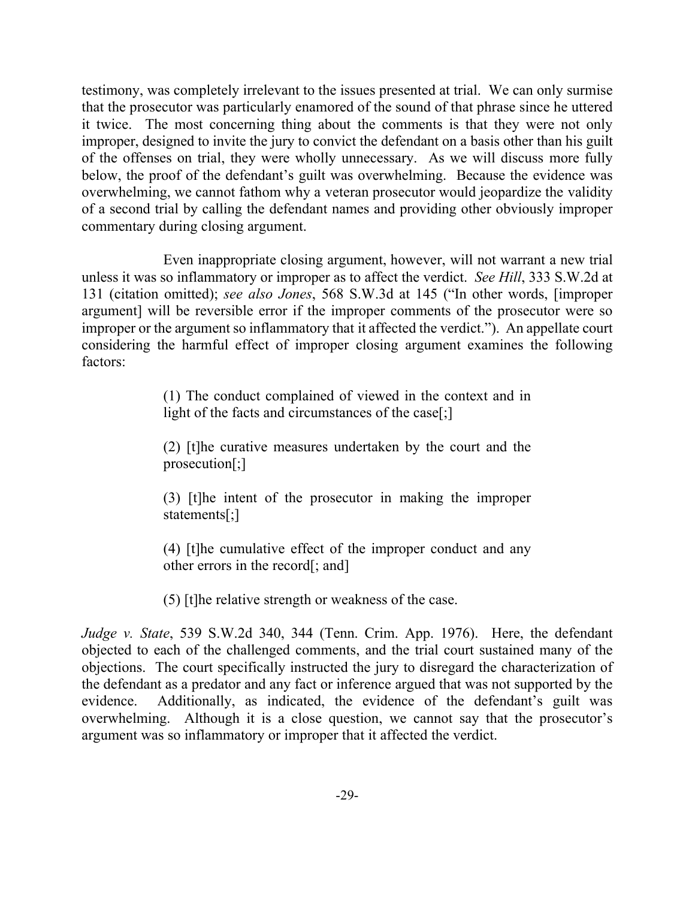testimony, was completely irrelevant to the issues presented at trial. We can only surmise that the prosecutor was particularly enamored of the sound of that phrase since he uttered it twice. The most concerning thing about the comments is that they were not only improper, designed to invite the jury to convict the defendant on a basis other than his guilt of the offenses on trial, they were wholly unnecessary. As we will discuss more fully below, the proof of the defendant's guilt was overwhelming. Because the evidence was overwhelming, we cannot fathom why a veteran prosecutor would jeopardize the validity of a second trial by calling the defendant names and providing other obviously improper commentary during closing argument.

Even inappropriate closing argument, however, will not warrant a new trial unless it was so inflammatory or improper as to affect the verdict. *See Hill*, 333 S.W.2d at 131 (citation omitted); *see also Jones*, 568 S.W.3d at 145 ("In other words, [improper argument] will be reversible error if the improper comments of the prosecutor were so improper or the argument so inflammatory that it affected the verdict."). An appellate court considering the harmful effect of improper closing argument examines the following factors:

> (1) The conduct complained of viewed in the context and in light of the facts and circumstances of the case[;]

> (2) [t]he curative measures undertaken by the court and the prosecution[;]

> (3) [t]he intent of the prosecutor in making the improper statements[;]

> (4) [t]he cumulative effect of the improper conduct and any other errors in the record[; and]

(5) [t]he relative strength or weakness of the case.

*Judge v. State*, 539 S.W.2d 340, 344 (Tenn. Crim. App. 1976). Here, the defendant objected to each of the challenged comments, and the trial court sustained many of the objections. The court specifically instructed the jury to disregard the characterization of the defendant as a predator and any fact or inference argued that was not supported by the evidence. Additionally, as indicated, the evidence of the defendant's guilt was overwhelming. Although it is a close question, we cannot say that the prosecutor's argument was so inflammatory or improper that it affected the verdict.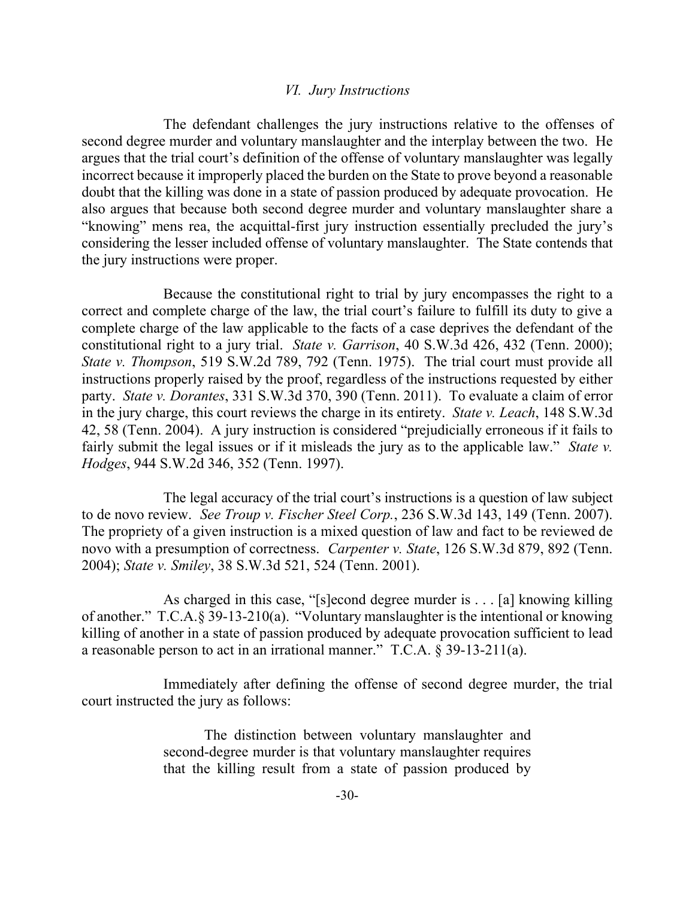### *VI. Jury Instructions*

The defendant challenges the jury instructions relative to the offenses of second degree murder and voluntary manslaughter and the interplay between the two. He argues that the trial court's definition of the offense of voluntary manslaughter was legally incorrect because it improperly placed the burden on the State to prove beyond a reasonable doubt that the killing was done in a state of passion produced by adequate provocation. He also argues that because both second degree murder and voluntary manslaughter share a "knowing" mens rea, the acquittal-first jury instruction essentially precluded the jury's considering the lesser included offense of voluntary manslaughter. The State contends that the jury instructions were proper.

Because the constitutional right to trial by jury encompasses the right to a correct and complete charge of the law, the trial court's failure to fulfill its duty to give a complete charge of the law applicable to the facts of a case deprives the defendant of the constitutional right to a jury trial. *State v. Garrison*, 40 S.W.3d 426, 432 (Tenn. 2000); *State v. Thompson*, 519 S.W.2d 789, 792 (Tenn. 1975). The trial court must provide all instructions properly raised by the proof, regardless of the instructions requested by either party. *State v. Dorantes*, 331 S.W.3d 370, 390 (Tenn. 2011). To evaluate a claim of error in the jury charge, this court reviews the charge in its entirety. *State v. Leach*, 148 S.W.3d 42, 58 (Tenn. 2004). A jury instruction is considered "prejudicially erroneous if it fails to fairly submit the legal issues or if it misleads the jury as to the applicable law." *State v. Hodges*, 944 S.W.2d 346, 352 (Tenn. 1997).

The legal accuracy of the trial court's instructions is a question of law subject to de novo review. *See Troup v. Fischer Steel Corp.*, 236 S.W.3d 143, 149 (Tenn. 2007). The propriety of a given instruction is a mixed question of law and fact to be reviewed de novo with a presumption of correctness. *Carpenter v. State*, 126 S.W.3d 879, 892 (Tenn. 2004); *State v. Smiley*, 38 S.W.3d 521, 524 (Tenn. 2001).

As charged in this case, "[s]econd degree murder is . . . [a] knowing killing of another." T.C.A.§ 39-13-210(a). "Voluntary manslaughter is the intentional or knowing killing of another in a state of passion produced by adequate provocation sufficient to lead a reasonable person to act in an irrational manner." T.C.A. § 39-13-211(a).

Immediately after defining the offense of second degree murder, the trial court instructed the jury as follows:

> The distinction between voluntary manslaughter and second-degree murder is that voluntary manslaughter requires that the killing result from a state of passion produced by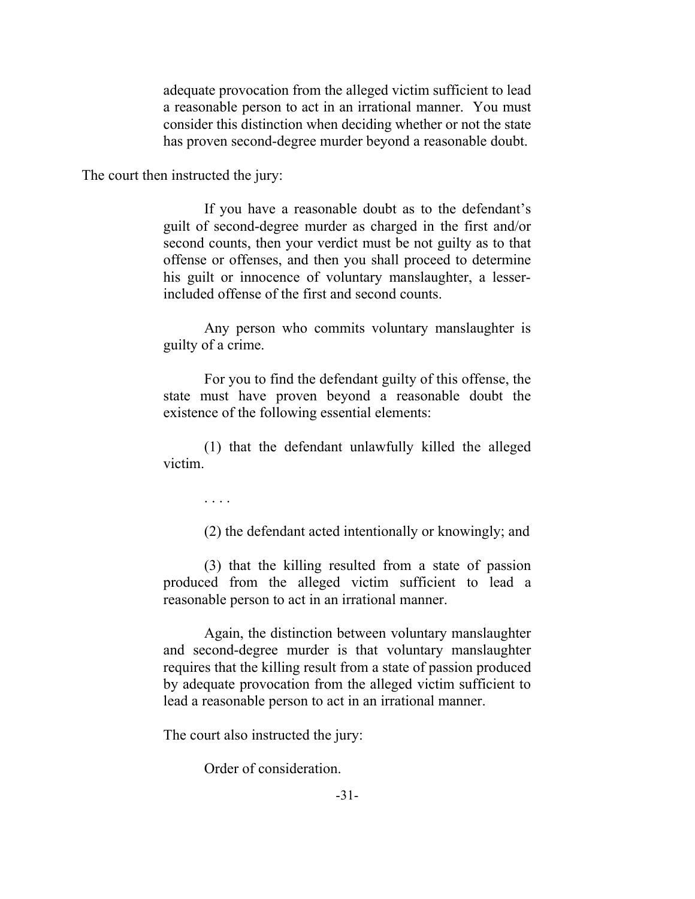adequate provocation from the alleged victim sufficient to lead a reasonable person to act in an irrational manner. You must consider this distinction when deciding whether or not the state has proven second-degree murder beyond a reasonable doubt.

The court then instructed the jury:

If you have a reasonable doubt as to the defendant's guilt of second-degree murder as charged in the first and/or second counts, then your verdict must be not guilty as to that offense or offenses, and then you shall proceed to determine his guilt or innocence of voluntary manslaughter, a lesserincluded offense of the first and second counts.

Any person who commits voluntary manslaughter is guilty of a crime.

For you to find the defendant guilty of this offense, the state must have proven beyond a reasonable doubt the existence of the following essential elements:

(1) that the defendant unlawfully killed the alleged victim.

. . . .

(2) the defendant acted intentionally or knowingly; and

(3) that the killing resulted from a state of passion produced from the alleged victim sufficient to lead a reasonable person to act in an irrational manner.

Again, the distinction between voluntary manslaughter and second-degree murder is that voluntary manslaughter requires that the killing result from a state of passion produced by adequate provocation from the alleged victim sufficient to lead a reasonable person to act in an irrational manner.

The court also instructed the jury:

Order of consideration.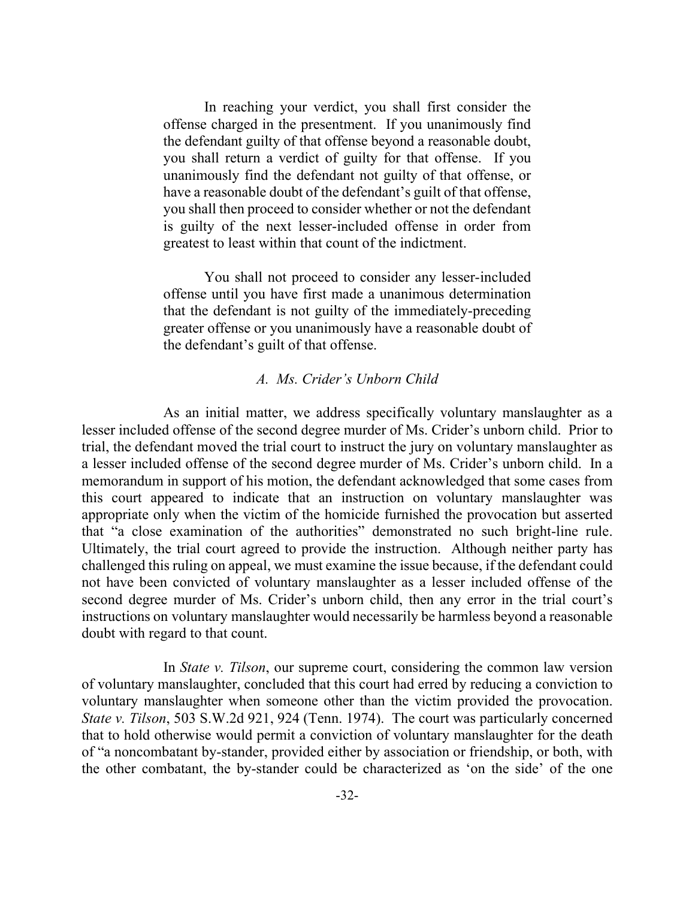In reaching your verdict, you shall first consider the offense charged in the presentment. If you unanimously find the defendant guilty of that offense beyond a reasonable doubt, you shall return a verdict of guilty for that offense. If you unanimously find the defendant not guilty of that offense, or have a reasonable doubt of the defendant's guilt of that offense, you shall then proceed to consider whether or not the defendant is guilty of the next lesser-included offense in order from greatest to least within that count of the indictment.

You shall not proceed to consider any lesser-included offense until you have first made a unanimous determination that the defendant is not guilty of the immediately-preceding greater offense or you unanimously have a reasonable doubt of the defendant's guilt of that offense.

#### *A. Ms. Crider's Unborn Child*

As an initial matter, we address specifically voluntary manslaughter as a lesser included offense of the second degree murder of Ms. Crider's unborn child. Prior to trial, the defendant moved the trial court to instruct the jury on voluntary manslaughter as a lesser included offense of the second degree murder of Ms. Crider's unborn child. In a memorandum in support of his motion, the defendant acknowledged that some cases from this court appeared to indicate that an instruction on voluntary manslaughter was appropriate only when the victim of the homicide furnished the provocation but asserted that "a close examination of the authorities" demonstrated no such bright-line rule. Ultimately, the trial court agreed to provide the instruction. Although neither party has challenged this ruling on appeal, we must examine the issue because, if the defendant could not have been convicted of voluntary manslaughter as a lesser included offense of the second degree murder of Ms. Crider's unborn child, then any error in the trial court's instructions on voluntary manslaughter would necessarily be harmless beyond a reasonable doubt with regard to that count.

In *State v. Tilson*, our supreme court, considering the common law version of voluntary manslaughter, concluded that this court had erred by reducing a conviction to voluntary manslaughter when someone other than the victim provided the provocation. *State v. Tilson*, 503 S.W.2d 921, 924 (Tenn. 1974). The court was particularly concerned that to hold otherwise would permit a conviction of voluntary manslaughter for the death of "a noncombatant by-stander, provided either by association or friendship, or both, with the other combatant, the by-stander could be characterized as 'on the side' of the one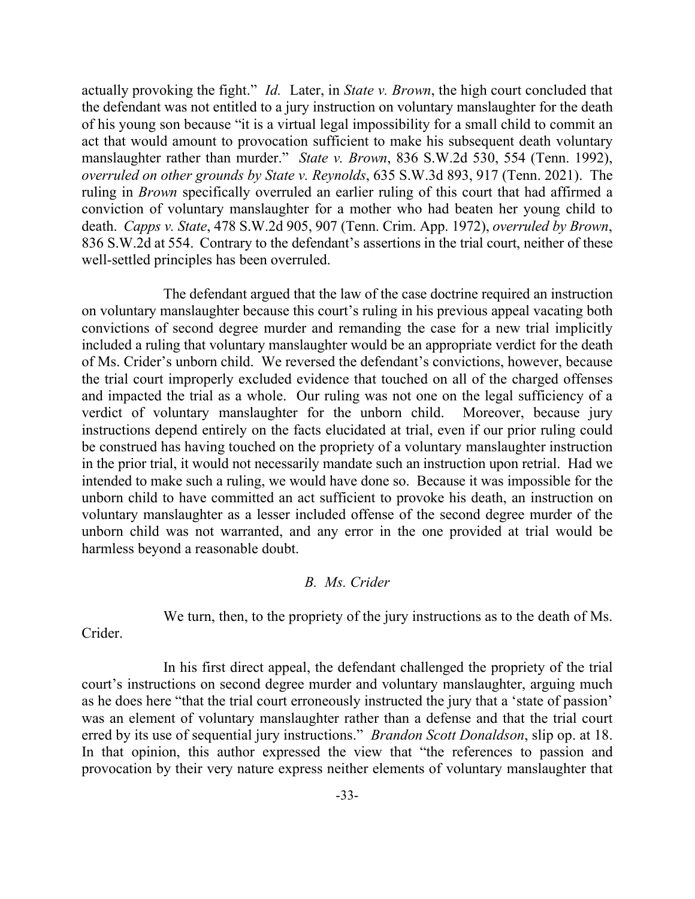actually provoking the fight." *Id.* Later, in *State v. Brown*, the high court concluded that the defendant was not entitled to a jury instruction on voluntary manslaughter for the death of his young son because "it is a virtual legal impossibility for a small child to commit an act that would amount to provocation sufficient to make his subsequent death voluntary manslaughter rather than murder." *State v. Brown*, 836 S.W.2d 530, 554 (Tenn. 1992), *overruled on other grounds by State v. Reynolds*, 635 S.W.3d 893, 917 (Tenn. 2021). The ruling in *Brown* specifically overruled an earlier ruling of this court that had affirmed a conviction of voluntary manslaughter for a mother who had beaten her young child to death. *Capps v. State*, 478 S.W.2d 905, 907 (Tenn. Crim. App. 1972), *overruled by Brown*, 836 S.W.2d at 554. Contrary to the defendant's assertions in the trial court, neither of these well-settled principles has been overruled.

The defendant argued that the law of the case doctrine required an instruction on voluntary manslaughter because this court's ruling in his previous appeal vacating both convictions of second degree murder and remanding the case for a new trial implicitly included a ruling that voluntary manslaughter would be an appropriate verdict for the death of Ms. Crider's unborn child. We reversed the defendant's convictions, however, because the trial court improperly excluded evidence that touched on all of the charged offenses and impacted the trial as a whole. Our ruling was not one on the legal sufficiency of a verdict of voluntary manslaughter for the unborn child. Moreover, because jury instructions depend entirely on the facts elucidated at trial, even if our prior ruling could be construed has having touched on the propriety of a voluntary manslaughter instruction in the prior trial, it would not necessarily mandate such an instruction upon retrial. Had we intended to make such a ruling, we would have done so. Because it was impossible for the unborn child to have committed an act sufficient to provoke his death, an instruction on voluntary manslaughter as a lesser included offense of the second degree murder of the unborn child was not warranted, and any error in the one provided at trial would be harmless beyond a reasonable doubt.

### *B. Ms. Crider*

We turn, then, to the propriety of the jury instructions as to the death of Ms.

Crider.

In his first direct appeal, the defendant challenged the propriety of the trial court's instructions on second degree murder and voluntary manslaughter, arguing much as he does here "that the trial court erroneously instructed the jury that a 'state of passion' was an element of voluntary manslaughter rather than a defense and that the trial court erred by its use of sequential jury instructions." *Brandon Scott Donaldson*, slip op. at 18. In that opinion, this author expressed the view that "the references to passion and provocation by their very nature express neither elements of voluntary manslaughter that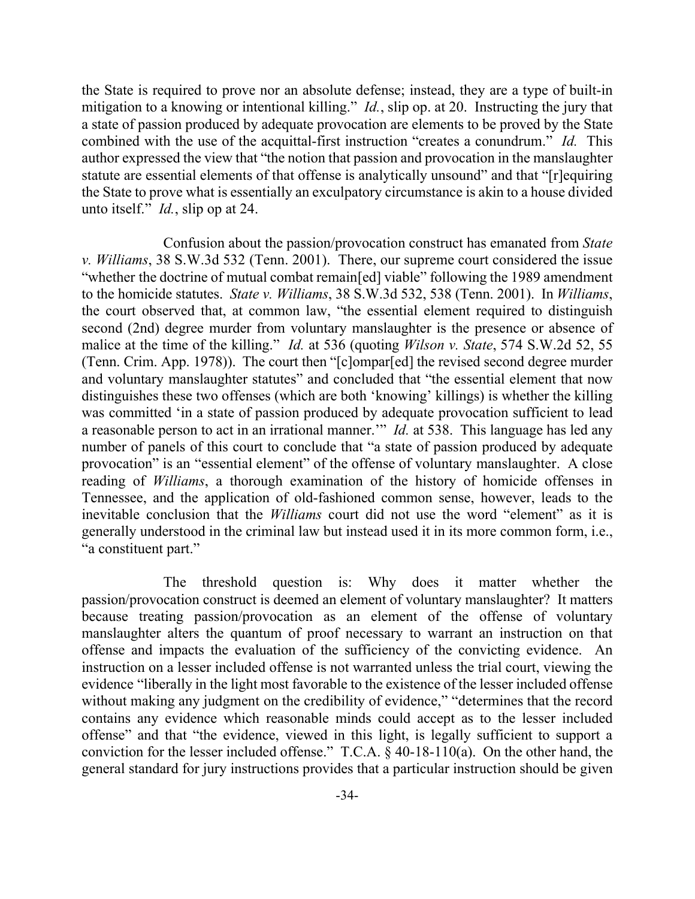the State is required to prove nor an absolute defense; instead, they are a type of built-in mitigation to a knowing or intentional killing." *Id.*, slip op. at 20. Instructing the jury that a state of passion produced by adequate provocation are elements to be proved by the State combined with the use of the acquittal-first instruction "creates a conundrum." *Id.* This author expressed the view that "the notion that passion and provocation in the manslaughter statute are essential elements of that offense is analytically unsound" and that "[r]equiring the State to prove what is essentially an exculpatory circumstance is akin to a house divided unto itself." *Id.*, slip op at 24.

Confusion about the passion/provocation construct has emanated from *State v. Williams*, 38 S.W.3d 532 (Tenn. 2001). There, our supreme court considered the issue "whether the doctrine of mutual combat remain[ed] viable" following the 1989 amendment to the homicide statutes. *State v. Williams*, 38 S.W.3d 532, 538 (Tenn. 2001). In *Williams*, the court observed that, at common law, "the essential element required to distinguish second (2nd) degree murder from voluntary manslaughter is the presence or absence of malice at the time of the killing." *Id.* at 536 (quoting *Wilson v. State*, 574 S.W.2d 52, 55 (Tenn. Crim. App. 1978)). The court then "[c]ompar[ed] the revised second degree murder and voluntary manslaughter statutes" and concluded that "the essential element that now distinguishes these two offenses (which are both 'knowing' killings) is whether the killing was committed 'in a state of passion produced by adequate provocation sufficient to lead a reasonable person to act in an irrational manner.'" *Id.* at 538. This language has led any number of panels of this court to conclude that "a state of passion produced by adequate provocation" is an "essential element" of the offense of voluntary manslaughter. A close reading of *Williams*, a thorough examination of the history of homicide offenses in Tennessee, and the application of old-fashioned common sense, however, leads to the inevitable conclusion that the *Williams* court did not use the word "element" as it is generally understood in the criminal law but instead used it in its more common form, i.e., "a constituent part."

The threshold question is: Why does it matter whether the passion/provocation construct is deemed an element of voluntary manslaughter? It matters because treating passion/provocation as an element of the offense of voluntary manslaughter alters the quantum of proof necessary to warrant an instruction on that offense and impacts the evaluation of the sufficiency of the convicting evidence. An instruction on a lesser included offense is not warranted unless the trial court, viewing the evidence "liberally in the light most favorable to the existence of the lesser included offense without making any judgment on the credibility of evidence," "determines that the record contains any evidence which reasonable minds could accept as to the lesser included offense" and that "the evidence, viewed in this light, is legally sufficient to support a conviction for the lesser included offense." T.C.A. § 40-18-110(a). On the other hand, the general standard for jury instructions provides that a particular instruction should be given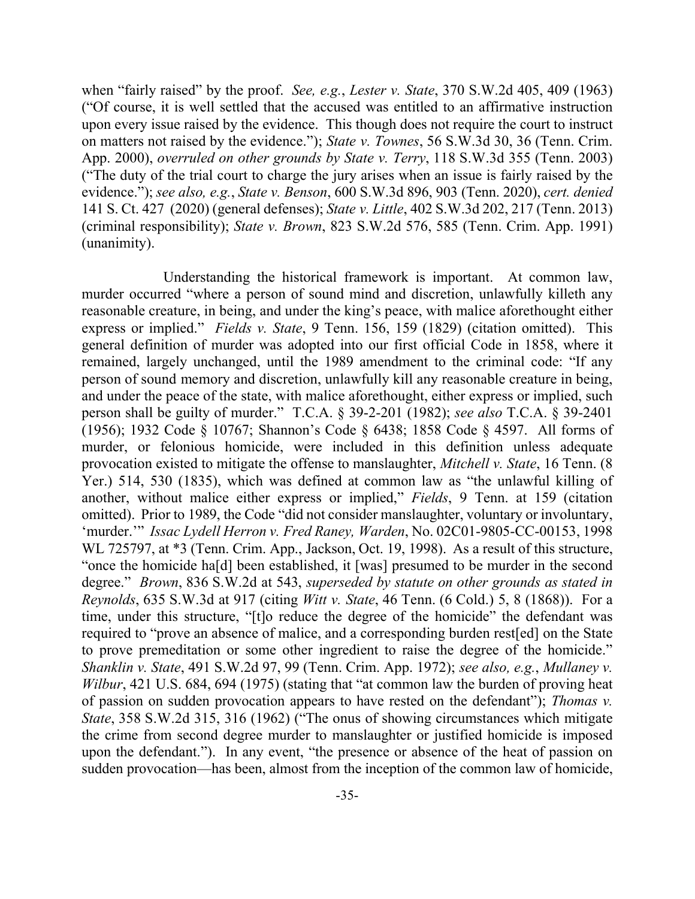when "fairly raised" by the proof. *See, e.g.*, *Lester v. State*, 370 S.W.2d 405, 409 (1963) ("Of course, it is well settled that the accused was entitled to an affirmative instruction upon every issue raised by the evidence. This though does not require the court to instruct on matters not raised by the evidence."); *State v. Townes*, 56 S.W.3d 30, 36 (Tenn. Crim. App. 2000), *overruled on other grounds by State v. Terry*, 118 S.W.3d 355 (Tenn. 2003) ("The duty of the trial court to charge the jury arises when an issue is fairly raised by the evidence."); *see also, e.g.*, *State v. Benson*, 600 S.W.3d 896, 903 (Tenn. 2020), *cert. denied* 141 S. Ct. 427 (2020) (general defenses); *State v. Little*, 402 S.W.3d 202, 217 (Tenn. 2013) (criminal responsibility); *State v. Brown*, 823 S.W.2d 576, 585 (Tenn. Crim. App. 1991) (unanimity).

Understanding the historical framework is important. At common law, murder occurred "where a person of sound mind and discretion, unlawfully killeth any reasonable creature, in being, and under the king's peace, with malice aforethought either express or implied." *Fields v. State*, 9 Tenn. 156, 159 (1829) (citation omitted). This general definition of murder was adopted into our first official Code in 1858, where it remained, largely unchanged, until the 1989 amendment to the criminal code: "If any person of sound memory and discretion, unlawfully kill any reasonable creature in being, and under the peace of the state, with malice aforethought, either express or implied, such person shall be guilty of murder." T.C.A. § 39-2-201 (1982); *see also* T.C.A. § 39-2401 (1956); 1932 Code § 10767; Shannon's Code § 6438; 1858 Code § 4597. All forms of murder, or felonious homicide, were included in this definition unless adequate provocation existed to mitigate the offense to manslaughter, *Mitchell v. State*, 16 Tenn. (8 Yer.) 514, 530 (1835), which was defined at common law as "the unlawful killing of another, without malice either express or implied," *Fields*, 9 Tenn. at 159 (citation omitted). Prior to 1989, the Code "did not consider manslaughter, voluntary or involuntary, 'murder.'" *Issac Lydell Herron v. Fred Raney, Warden*, No. 02C01-9805-CC-00153, 1998 WL 725797, at \*3 (Tenn. Crim. App., Jackson, Oct. 19, 1998). As a result of this structure, "once the homicide ha[d] been established, it [was] presumed to be murder in the second degree." *Brown*, 836 S.W.2d at 543, *superseded by statute on other grounds as stated in Reynolds*, 635 S.W.3d at 917 (citing *Witt v. State*, 46 Tenn. (6 Cold.) 5, 8 (1868)). For a time, under this structure, "[t]o reduce the degree of the homicide" the defendant was required to "prove an absence of malice, and a corresponding burden rest[ed] on the State to prove premeditation or some other ingredient to raise the degree of the homicide." *Shanklin v. State*, 491 S.W.2d 97, 99 (Tenn. Crim. App. 1972); *see also, e.g.*, *Mullaney v. Wilbur*, 421 U.S. 684, 694 (1975) (stating that "at common law the burden of proving heat of passion on sudden provocation appears to have rested on the defendant"); *Thomas v. State*, 358 S.W.2d 315, 316 (1962) ("The onus of showing circumstances which mitigate the crime from second degree murder to manslaughter or justified homicide is imposed upon the defendant."). In any event, "the presence or absence of the heat of passion on sudden provocation—has been, almost from the inception of the common law of homicide,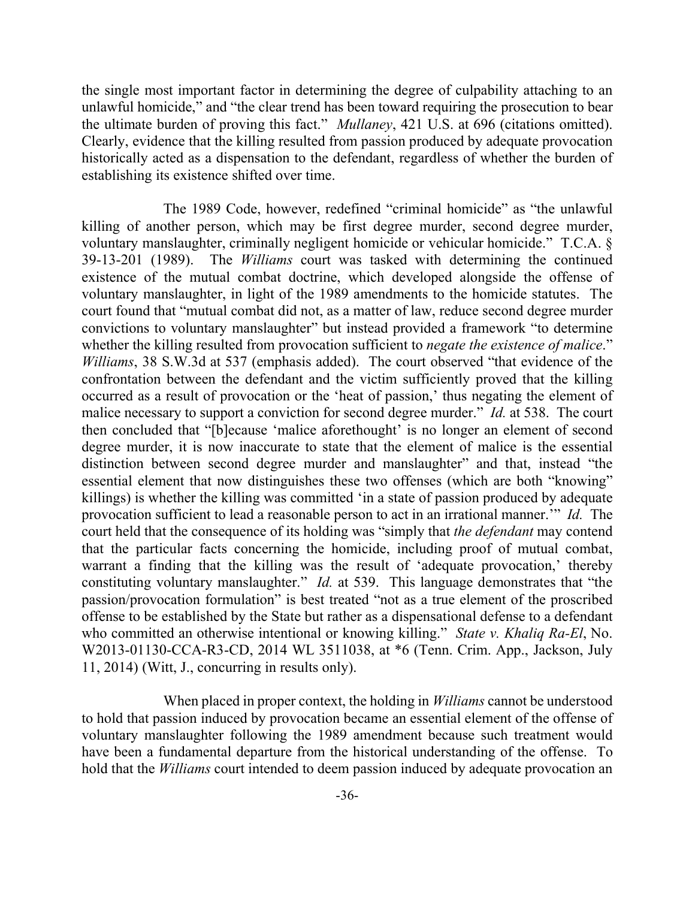the single most important factor in determining the degree of culpability attaching to an unlawful homicide," and "the clear trend has been toward requiring the prosecution to bear the ultimate burden of proving this fact." *Mullaney*, 421 U.S. at 696 (citations omitted). Clearly, evidence that the killing resulted from passion produced by adequate provocation historically acted as a dispensation to the defendant, regardless of whether the burden of establishing its existence shifted over time.

The 1989 Code, however, redefined "criminal homicide" as "the unlawful killing of another person, which may be first degree murder, second degree murder, voluntary manslaughter, criminally negligent homicide or vehicular homicide." T.C.A. § 39-13-201 (1989). The *Williams* court was tasked with determining the continued existence of the mutual combat doctrine, which developed alongside the offense of voluntary manslaughter, in light of the 1989 amendments to the homicide statutes. The court found that "mutual combat did not, as a matter of law, reduce second degree murder convictions to voluntary manslaughter" but instead provided a framework "to determine whether the killing resulted from provocation sufficient to *negate the existence of malice*." *Williams*, 38 S.W.3d at 537 (emphasis added). The court observed "that evidence of the confrontation between the defendant and the victim sufficiently proved that the killing occurred as a result of provocation or the 'heat of passion,' thus negating the element of malice necessary to support a conviction for second degree murder." *Id.* at 538. The court then concluded that "[b]ecause 'malice aforethought' is no longer an element of second degree murder, it is now inaccurate to state that the element of malice is the essential distinction between second degree murder and manslaughter" and that, instead "the essential element that now distinguishes these two offenses (which are both "knowing" killings) is whether the killing was committed 'in a state of passion produced by adequate provocation sufficient to lead a reasonable person to act in an irrational manner.'" *Id.* The court held that the consequence of its holding was "simply that *the defendant* may contend that the particular facts concerning the homicide, including proof of mutual combat, warrant a finding that the killing was the result of 'adequate provocation,' thereby constituting voluntary manslaughter." *Id.* at 539. This language demonstrates that "the passion/provocation formulation" is best treated "not as a true element of the proscribed offense to be established by the State but rather as a dispensational defense to a defendant who committed an otherwise intentional or knowing killing." *State v. Khaliq Ra-El*, No. W2013-01130-CCA-R3-CD, 2014 WL 3511038, at \*6 (Tenn. Crim. App., Jackson, July 11, 2014) (Witt, J., concurring in results only).

When placed in proper context, the holding in *Williams* cannot be understood to hold that passion induced by provocation became an essential element of the offense of voluntary manslaughter following the 1989 amendment because such treatment would have been a fundamental departure from the historical understanding of the offense. To hold that the *Williams* court intended to deem passion induced by adequate provocation an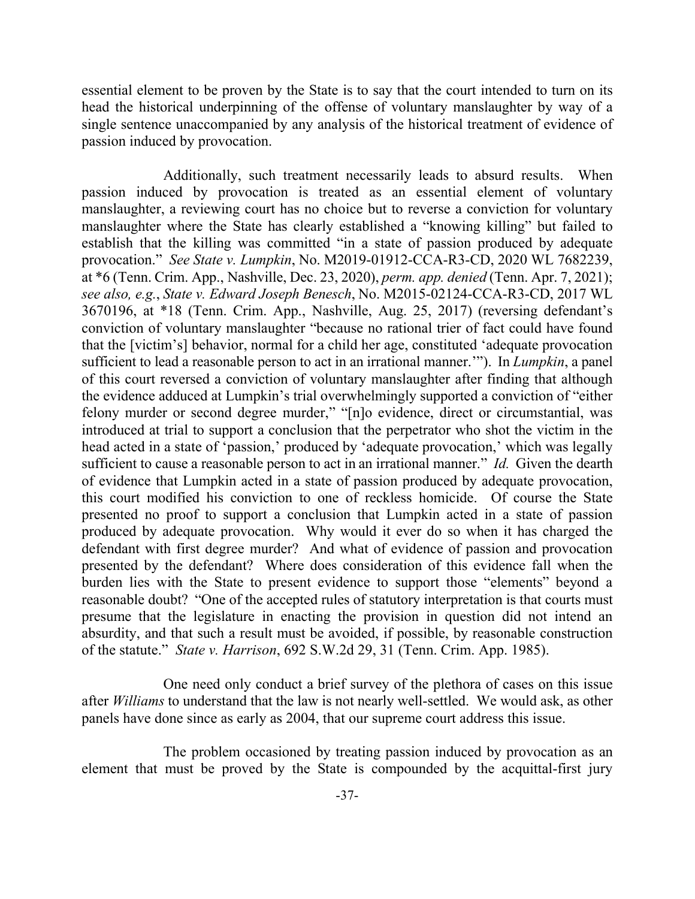essential element to be proven by the State is to say that the court intended to turn on its head the historical underpinning of the offense of voluntary manslaughter by way of a single sentence unaccompanied by any analysis of the historical treatment of evidence of passion induced by provocation.

Additionally, such treatment necessarily leads to absurd results. When passion induced by provocation is treated as an essential element of voluntary manslaughter, a reviewing court has no choice but to reverse a conviction for voluntary manslaughter where the State has clearly established a "knowing killing" but failed to establish that the killing was committed "in a state of passion produced by adequate provocation." *See State v. Lumpkin*, No. M2019-01912-CCA-R3-CD, 2020 WL 7682239, at \*6 (Tenn. Crim. App., Nashville, Dec. 23, 2020), *perm. app. denied* (Tenn. Apr. 7, 2021); *see also, e.g.*, *State v. Edward Joseph Benesch*, No. M2015-02124-CCA-R3-CD, 2017 WL 3670196, at \*18 (Tenn. Crim. App., Nashville, Aug. 25, 2017) (reversing defendant's conviction of voluntary manslaughter "because no rational trier of fact could have found that the [victim's] behavior, normal for a child her age, constituted 'adequate provocation sufficient to lead a reasonable person to act in an irrational manner.'"). In *Lumpkin*, a panel of this court reversed a conviction of voluntary manslaughter after finding that although the evidence adduced at Lumpkin's trial overwhelmingly supported a conviction of "either felony murder or second degree murder," "[n]o evidence, direct or circumstantial, was introduced at trial to support a conclusion that the perpetrator who shot the victim in the head acted in a state of 'passion,' produced by 'adequate provocation,' which was legally sufficient to cause a reasonable person to act in an irrational manner." *Id.* Given the dearth of evidence that Lumpkin acted in a state of passion produced by adequate provocation, this court modified his conviction to one of reckless homicide. Of course the State presented no proof to support a conclusion that Lumpkin acted in a state of passion produced by adequate provocation. Why would it ever do so when it has charged the defendant with first degree murder? And what of evidence of passion and provocation presented by the defendant? Where does consideration of this evidence fall when the burden lies with the State to present evidence to support those "elements" beyond a reasonable doubt? "One of the accepted rules of statutory interpretation is that courts must presume that the legislature in enacting the provision in question did not intend an absurdity, and that such a result must be avoided, if possible, by reasonable construction of the statute." *State v. Harrison*, 692 S.W.2d 29, 31 (Tenn. Crim. App. 1985).

One need only conduct a brief survey of the plethora of cases on this issue after *Williams* to understand that the law is not nearly well-settled. We would ask, as other panels have done since as early as 2004, that our supreme court address this issue.

The problem occasioned by treating passion induced by provocation as an element that must be proved by the State is compounded by the acquittal-first jury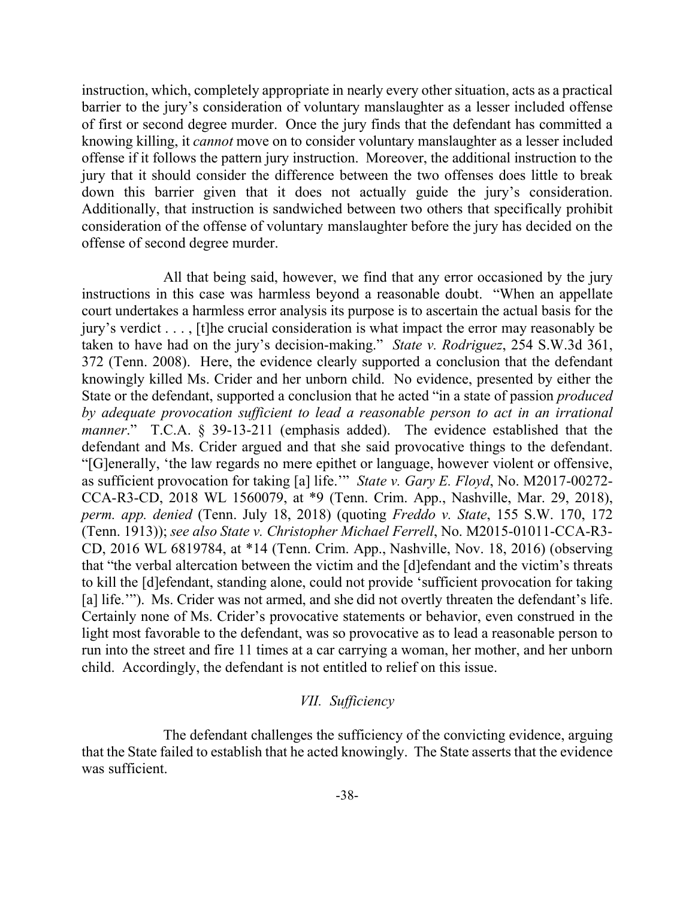instruction, which, completely appropriate in nearly every other situation, acts as a practical barrier to the jury's consideration of voluntary manslaughter as a lesser included offense of first or second degree murder. Once the jury finds that the defendant has committed a knowing killing, it *cannot* move on to consider voluntary manslaughter as a lesser included offense if it follows the pattern jury instruction. Moreover, the additional instruction to the jury that it should consider the difference between the two offenses does little to break down this barrier given that it does not actually guide the jury's consideration. Additionally, that instruction is sandwiched between two others that specifically prohibit consideration of the offense of voluntary manslaughter before the jury has decided on the offense of second degree murder.

All that being said, however, we find that any error occasioned by the jury instructions in this case was harmless beyond a reasonable doubt. "When an appellate court undertakes a harmless error analysis its purpose is to ascertain the actual basis for the jury's verdict . . . , [t]he crucial consideration is what impact the error may reasonably be taken to have had on the jury's decision-making." *State v. Rodriguez*, 254 S.W.3d 361, 372 (Tenn. 2008). Here, the evidence clearly supported a conclusion that the defendant knowingly killed Ms. Crider and her unborn child. No evidence, presented by either the State or the defendant, supported a conclusion that he acted "in a state of passion *produced by adequate provocation sufficient to lead a reasonable person to act in an irrational manner*." T.C.A. § 39-13-211 (emphasis added). The evidence established that the defendant and Ms. Crider argued and that she said provocative things to the defendant. "[G]enerally, 'the law regards no mere epithet or language, however violent or offensive, as sufficient provocation for taking [a] life.'" *State v. Gary E. Floyd*, No. M2017-00272- CCA-R3-CD, 2018 WL 1560079, at \*9 (Tenn. Crim. App., Nashville, Mar. 29, 2018), *perm. app. denied* (Tenn. July 18, 2018) (quoting *Freddo v. State*, 155 S.W. 170, 172 (Tenn. 1913)); *see also State v. Christopher Michael Ferrell*, No. M2015-01011-CCA-R3- CD, 2016 WL 6819784, at \*14 (Tenn. Crim. App., Nashville, Nov. 18, 2016) (observing that "the verbal altercation between the victim and the [d]efendant and the victim's threats to kill the [d]efendant, standing alone, could not provide 'sufficient provocation for taking [a] life.""). Ms. Crider was not armed, and she did not overtly threaten the defendant's life. Certainly none of Ms. Crider's provocative statements or behavior, even construed in the light most favorable to the defendant, was so provocative as to lead a reasonable person to run into the street and fire 11 times at a car carrying a woman, her mother, and her unborn child. Accordingly, the defendant is not entitled to relief on this issue.

### *VII. Sufficiency*

The defendant challenges the sufficiency of the convicting evidence, arguing that the State failed to establish that he acted knowingly. The State asserts that the evidence was sufficient.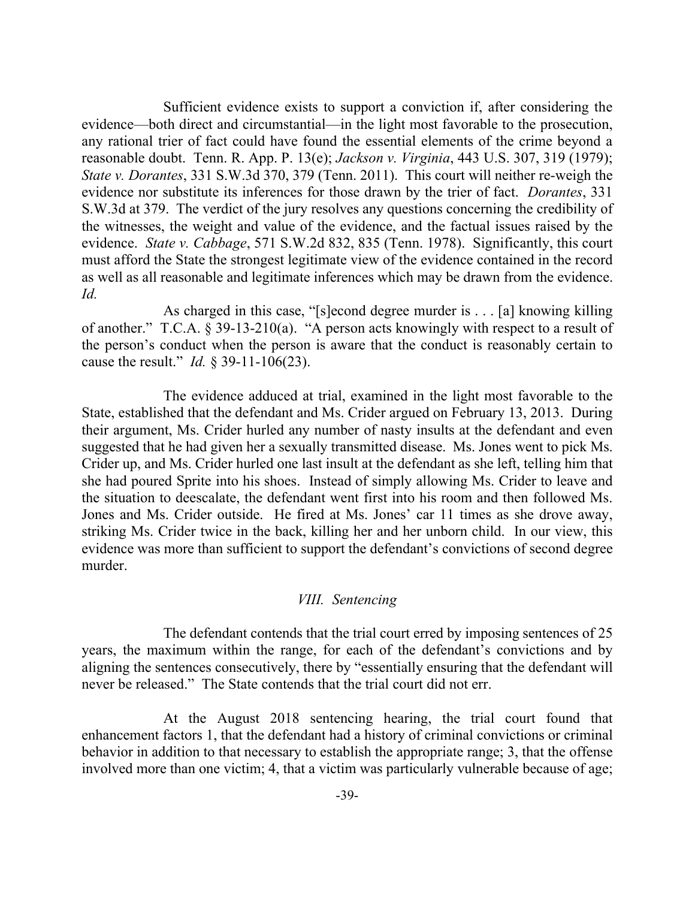Sufficient evidence exists to support a conviction if, after considering the evidence—both direct and circumstantial—in the light most favorable to the prosecution, any rational trier of fact could have found the essential elements of the crime beyond a reasonable doubt. Tenn. R. App. P. 13(e); *Jackson v. Virginia*, 443 U.S. 307, 319 (1979); *State v. Dorantes*, 331 S.W.3d 370, 379 (Tenn. 2011). This court will neither re-weigh the evidence nor substitute its inferences for those drawn by the trier of fact. *Dorantes*, 331 S.W.3d at 379. The verdict of the jury resolves any questions concerning the credibility of the witnesses, the weight and value of the evidence, and the factual issues raised by the evidence. *State v. Cabbage*, 571 S.W.2d 832, 835 (Tenn. 1978). Significantly, this court must afford the State the strongest legitimate view of the evidence contained in the record as well as all reasonable and legitimate inferences which may be drawn from the evidence. *Id.*

As charged in this case, "[s]econd degree murder is . . . [a] knowing killing of another." T.C.A. § 39-13-210(a). "A person acts knowingly with respect to a result of the person's conduct when the person is aware that the conduct is reasonably certain to cause the result." *Id.* § 39-11-106(23).

The evidence adduced at trial, examined in the light most favorable to the State, established that the defendant and Ms. Crider argued on February 13, 2013. During their argument, Ms. Crider hurled any number of nasty insults at the defendant and even suggested that he had given her a sexually transmitted disease. Ms. Jones went to pick Ms. Crider up, and Ms. Crider hurled one last insult at the defendant as she left, telling him that she had poured Sprite into his shoes. Instead of simply allowing Ms. Crider to leave and the situation to deescalate, the defendant went first into his room and then followed Ms. Jones and Ms. Crider outside. He fired at Ms. Jones' car 11 times as she drove away, striking Ms. Crider twice in the back, killing her and her unborn child. In our view, this evidence was more than sufficient to support the defendant's convictions of second degree murder.

### *VIII. Sentencing*

The defendant contends that the trial court erred by imposing sentences of 25 years, the maximum within the range, for each of the defendant's convictions and by aligning the sentences consecutively, there by "essentially ensuring that the defendant will never be released." The State contends that the trial court did not err.

At the August 2018 sentencing hearing, the trial court found that enhancement factors 1, that the defendant had a history of criminal convictions or criminal behavior in addition to that necessary to establish the appropriate range; 3, that the offense involved more than one victim; 4, that a victim was particularly vulnerable because of age;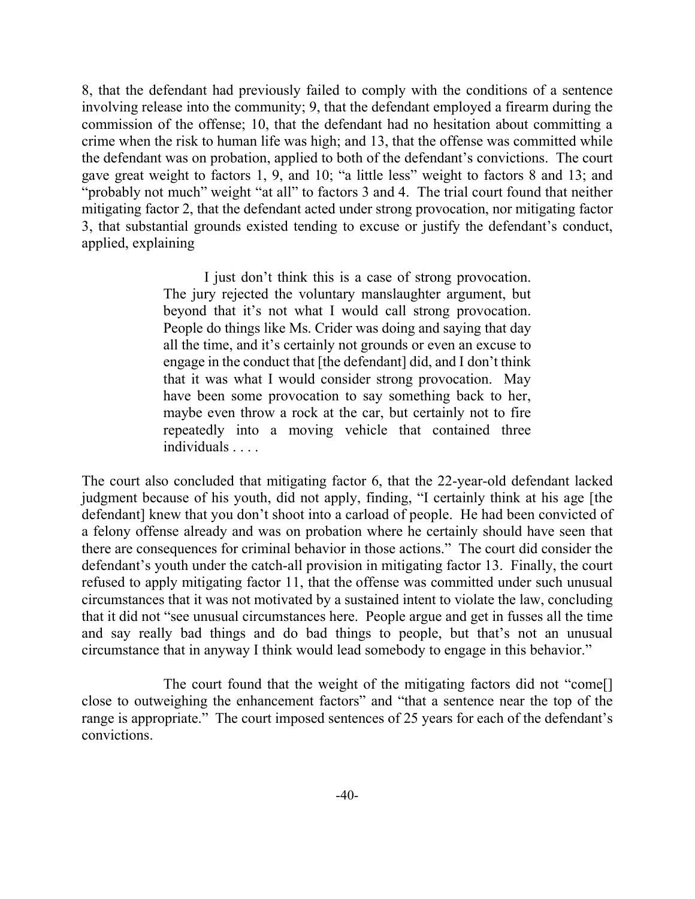8, that the defendant had previously failed to comply with the conditions of a sentence involving release into the community; 9, that the defendant employed a firearm during the commission of the offense; 10, that the defendant had no hesitation about committing a crime when the risk to human life was high; and 13, that the offense was committed while the defendant was on probation, applied to both of the defendant's convictions. The court gave great weight to factors 1, 9, and 10; "a little less" weight to factors 8 and 13; and "probably not much" weight "at all" to factors 3 and 4. The trial court found that neither mitigating factor 2, that the defendant acted under strong provocation, nor mitigating factor 3, that substantial grounds existed tending to excuse or justify the defendant's conduct, applied, explaining

> I just don't think this is a case of strong provocation. The jury rejected the voluntary manslaughter argument, but beyond that it's not what I would call strong provocation. People do things like Ms. Crider was doing and saying that day all the time, and it's certainly not grounds or even an excuse to engage in the conduct that [the defendant] did, and I don't think that it was what I would consider strong provocation. May have been some provocation to say something back to her, maybe even throw a rock at the car, but certainly not to fire repeatedly into a moving vehicle that contained three individuals . . . .

The court also concluded that mitigating factor 6, that the 22-year-old defendant lacked judgment because of his youth, did not apply, finding, "I certainly think at his age [the defendant] knew that you don't shoot into a carload of people. He had been convicted of a felony offense already and was on probation where he certainly should have seen that there are consequences for criminal behavior in those actions." The court did consider the defendant's youth under the catch-all provision in mitigating factor 13. Finally, the court refused to apply mitigating factor 11, that the offense was committed under such unusual circumstances that it was not motivated by a sustained intent to violate the law, concluding that it did not "see unusual circumstances here. People argue and get in fusses all the time and say really bad things and do bad things to people, but that's not an unusual circumstance that in anyway I think would lead somebody to engage in this behavior."

The court found that the weight of the mitigating factors did not "come[] close to outweighing the enhancement factors" and "that a sentence near the top of the range is appropriate." The court imposed sentences of 25 years for each of the defendant's convictions.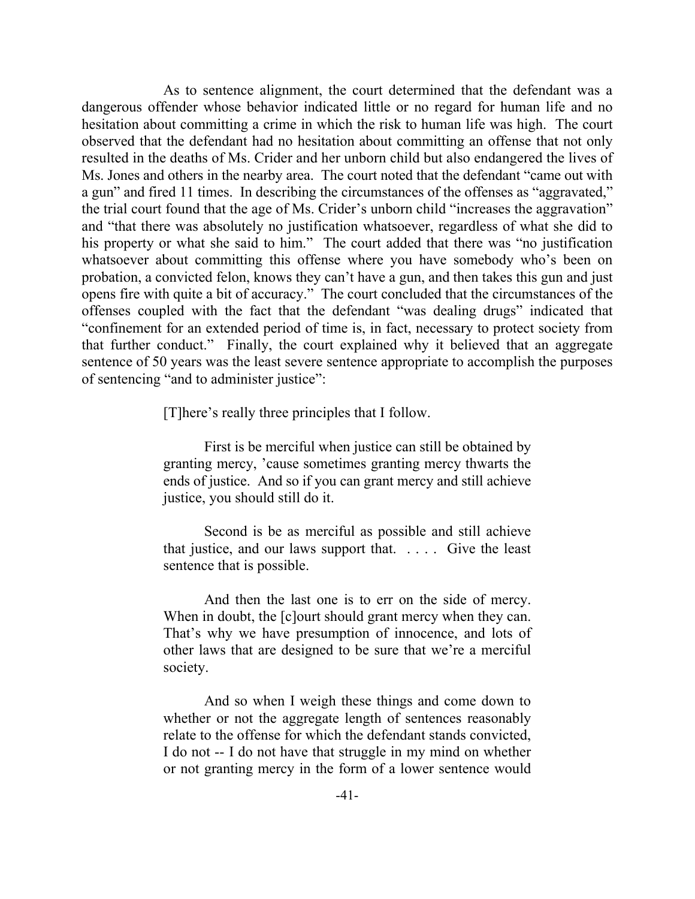As to sentence alignment, the court determined that the defendant was a dangerous offender whose behavior indicated little or no regard for human life and no hesitation about committing a crime in which the risk to human life was high. The court observed that the defendant had no hesitation about committing an offense that not only resulted in the deaths of Ms. Crider and her unborn child but also endangered the lives of Ms. Jones and others in the nearby area. The court noted that the defendant "came out with a gun" and fired 11 times. In describing the circumstances of the offenses as "aggravated," the trial court found that the age of Ms. Crider's unborn child "increases the aggravation" and "that there was absolutely no justification whatsoever, regardless of what she did to his property or what she said to him." The court added that there was "no justification whatsoever about committing this offense where you have somebody who's been on probation, a convicted felon, knows they can't have a gun, and then takes this gun and just opens fire with quite a bit of accuracy." The court concluded that the circumstances of the offenses coupled with the fact that the defendant "was dealing drugs" indicated that "confinement for an extended period of time is, in fact, necessary to protect society from that further conduct." Finally, the court explained why it believed that an aggregate sentence of 50 years was the least severe sentence appropriate to accomplish the purposes of sentencing "and to administer justice":

[T]here's really three principles that I follow.

First is be merciful when justice can still be obtained by granting mercy, 'cause sometimes granting mercy thwarts the ends of justice. And so if you can grant mercy and still achieve justice, you should still do it.

Second is be as merciful as possible and still achieve that justice, and our laws support that. . . . . Give the least sentence that is possible.

And then the last one is to err on the side of mercy. When in doubt, the [c]ourt should grant mercy when they can. That's why we have presumption of innocence, and lots of other laws that are designed to be sure that we're a merciful society.

And so when I weigh these things and come down to whether or not the aggregate length of sentences reasonably relate to the offense for which the defendant stands convicted, I do not -- I do not have that struggle in my mind on whether or not granting mercy in the form of a lower sentence would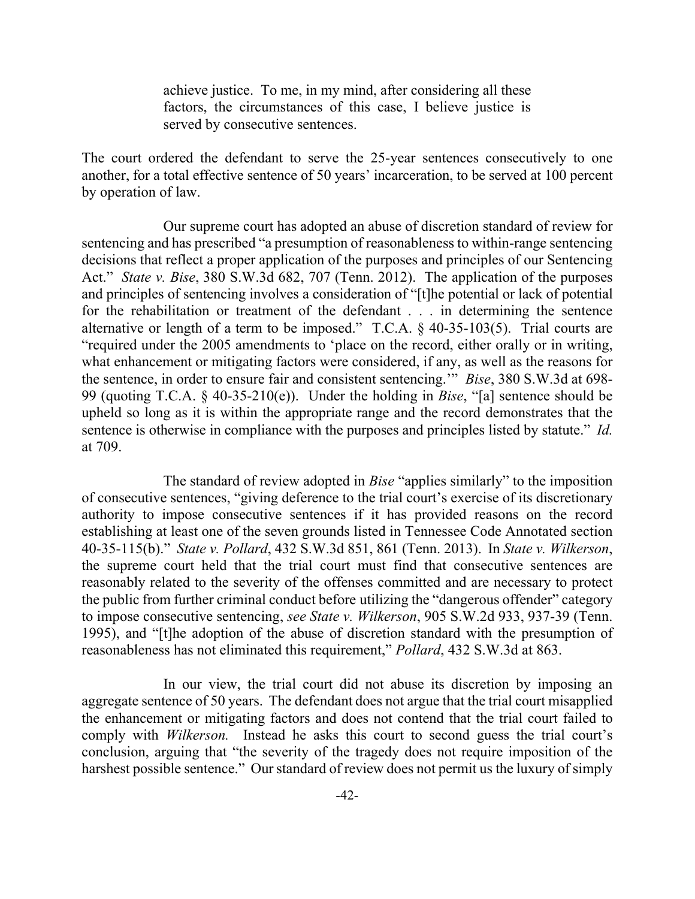achieve justice. To me, in my mind, after considering all these factors, the circumstances of this case, I believe justice is served by consecutive sentences.

The court ordered the defendant to serve the 25-year sentences consecutively to one another, for a total effective sentence of 50 years' incarceration, to be served at 100 percent by operation of law.

Our supreme court has adopted an abuse of discretion standard of review for sentencing and has prescribed "a presumption of reasonableness to within-range sentencing decisions that reflect a proper application of the purposes and principles of our Sentencing Act." *State v. Bise*, 380 S.W.3d 682, 707 (Tenn. 2012). The application of the purposes and principles of sentencing involves a consideration of "[t]he potential or lack of potential for the rehabilitation or treatment of the defendant . . . in determining the sentence alternative or length of a term to be imposed." T.C.A. § 40-35-103(5). Trial courts are "required under the 2005 amendments to 'place on the record, either orally or in writing, what enhancement or mitigating factors were considered, if any, as well as the reasons for the sentence, in order to ensure fair and consistent sentencing.'" *Bise*, 380 S.W.3d at 698- 99 (quoting T.C.A. § 40-35-210(e)). Under the holding in *Bise*, "[a] sentence should be upheld so long as it is within the appropriate range and the record demonstrates that the sentence is otherwise in compliance with the purposes and principles listed by statute." *Id.* at 709.

The standard of review adopted in *Bise* "applies similarly" to the imposition of consecutive sentences, "giving deference to the trial court's exercise of its discretionary authority to impose consecutive sentences if it has provided reasons on the record establishing at least one of the seven grounds listed in Tennessee Code Annotated section 40-35-115(b)." *State v. Pollard*, 432 S.W.3d 851, 861 (Tenn. 2013). In *State v. Wilkerson*, the supreme court held that the trial court must find that consecutive sentences are reasonably related to the severity of the offenses committed and are necessary to protect the public from further criminal conduct before utilizing the "dangerous offender" category to impose consecutive sentencing, *see State v. Wilkerson*, 905 S.W.2d 933, 937-39 (Tenn. 1995), and "[t]he adoption of the abuse of discretion standard with the presumption of reasonableness has not eliminated this requirement," *Pollard*, 432 S.W.3d at 863.

In our view, the trial court did not abuse its discretion by imposing an aggregate sentence of 50 years. The defendant does not argue that the trial court misapplied the enhancement or mitigating factors and does not contend that the trial court failed to comply with *Wilkerson.* Instead he asks this court to second guess the trial court's conclusion, arguing that "the severity of the tragedy does not require imposition of the harshest possible sentence." Our standard of review does not permit us the luxury of simply